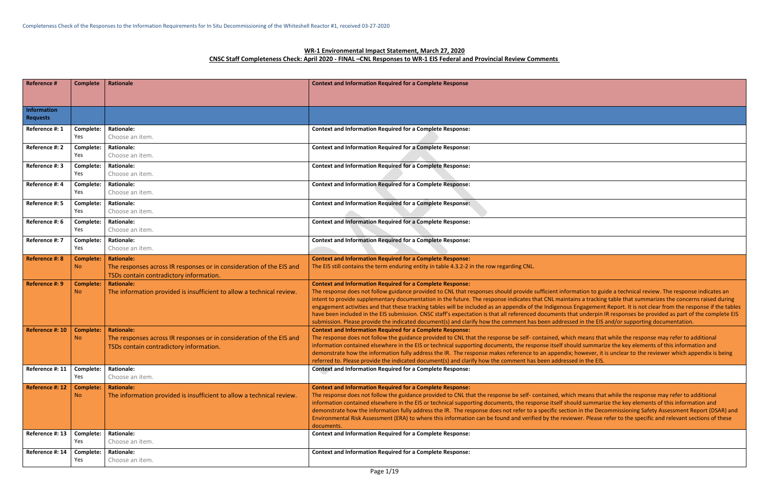Iformation to guide a technical review. The response indicates an intains a tracking table that summarizes the concerns raised during ous Engagement Report. It is not clear from the response if the tables s that underpin IR responses be provided as part of the complete EIS ressed in the EIS and/or supporting documentation.

vhich means that while the response may refer to additional should summarize the key elements of this information and dix; however, it is unclear to the reviewer which appendix is being ressed in the EIS.

vhich means that while the response may refer to additional should summarize the key elements of this information and ection in the Decommissioning Safety Assessment Report (DSAR) and eviewer. Please refer to the specific and relevant sections of these

# **WR-1 Environmental Impact Statement, March 27, 2020 CNSC Staff Completeness Check: April 2020 - FINAL –CNL Responses to WR-1 EIS Federal and Provincial Review Comments**

| <b>Reference #</b>                    | <b>Complete</b>               | <b>Rationale</b>                                                                                                                     | <b>Context and Information Required for a Complete Response</b>                                                                                                                                                                                                                                                                                                                                                                                                                                                                                                                             |
|---------------------------------------|-------------------------------|--------------------------------------------------------------------------------------------------------------------------------------|---------------------------------------------------------------------------------------------------------------------------------------------------------------------------------------------------------------------------------------------------------------------------------------------------------------------------------------------------------------------------------------------------------------------------------------------------------------------------------------------------------------------------------------------------------------------------------------------|
| <b>Information</b><br><b>Requests</b> |                               |                                                                                                                                      |                                                                                                                                                                                                                                                                                                                                                                                                                                                                                                                                                                                             |
| Reference #: 1                        | Complete:<br>Yes              | <b>Rationale:</b><br>Choose an item.                                                                                                 | <b>Context and Information Required for a Complete Response:</b>                                                                                                                                                                                                                                                                                                                                                                                                                                                                                                                            |
| Reference #: 2                        | Complete:<br>Yes              | <b>Rationale:</b><br>Choose an item.                                                                                                 | <b>Context and Information Required for a Complete Response:</b>                                                                                                                                                                                                                                                                                                                                                                                                                                                                                                                            |
| Reference #: 3                        | Complete:<br>Yes              | <b>Rationale:</b><br>Choose an item.                                                                                                 | <b>Context and Information Required for a Complete Response:</b>                                                                                                                                                                                                                                                                                                                                                                                                                                                                                                                            |
| Reference #: 4                        | Complete:<br>Yes              | <b>Rationale:</b><br>Choose an item.                                                                                                 | <b>Context and Information Required for a Complete Response:</b>                                                                                                                                                                                                                                                                                                                                                                                                                                                                                                                            |
| Reference #: 5                        | Complete:<br>Yes              | <b>Rationale:</b><br>Choose an item.                                                                                                 | <b>Context and Information Required for a Complete Response:</b>                                                                                                                                                                                                                                                                                                                                                                                                                                                                                                                            |
| Reference #: 6                        | Complete:<br>Yes              | <b>Rationale:</b><br>Choose an item.                                                                                                 | <b>Context and Information Required for a Complete Response:</b>                                                                                                                                                                                                                                                                                                                                                                                                                                                                                                                            |
| Reference #: 7                        | Complete:<br>Yes              | <b>Rationale:</b><br>Choose an item.                                                                                                 | <b>Context and Information Required for a Complete Response:</b>                                                                                                                                                                                                                                                                                                                                                                                                                                                                                                                            |
| <b>Reference #: 8</b>                 | <b>Complete:</b><br><b>No</b> | <b>Rationale:</b><br>The responses across IR responses or in consideration of the EIS and<br>TSDs contain contradictory information. | <b>Context and Information Required for a Complete Response:</b><br>The EIS still contains the term enduring entity in table 4.3.2-2 in the row regarding CNL.                                                                                                                                                                                                                                                                                                                                                                                                                              |
| Reference #: 9                        | <b>Complete:</b><br><b>No</b> | <b>Rationale:</b><br>The information provided is insufficient to allow a technical review.                                           | <b>Context and Information Required for a Complete Response:</b><br>The response does not follow guidance provided to CNL that responses should provide sufficient in<br>intent to provide supplementary documentation in the future. The response indicates that CNL mai<br>engagement activities and that these tracking tables will be included as an appendix of the Indigend<br>have been included in the EIS submission. CNSC staff's expectation is that all referenced documents<br>submission. Please provide the indicated document(s) and clarify how the comment has been addre |
| Reference #: 10                       | <b>Complete:</b><br>No.       | <b>Rationale:</b><br>The responses across IR responses or in consideration of the EIS and<br>TSDs contain contradictory information. | <b>Context and Information Required for a Complete Response:</b><br>The response does not follow the guidance provided to CNL that the response be self-contained, w<br>information contained elsewhere in the EIS or technical supporting documents, the response itself<br>demonstrate how the information fully address the IR. The response makes reference to an append<br>referred to. Please provide the indicated document(s) and clarify how the comment has been addre                                                                                                            |
| Reference #: 11                       | Complete:<br>Yes              | <b>Rationale:</b><br>Choose an item.                                                                                                 | <b>Context and Information Required for a Complete Response:</b>                                                                                                                                                                                                                                                                                                                                                                                                                                                                                                                            |
| Reference #: 12                       | <b>Complete:</b><br>No.       | <b>Rationale:</b><br>The information provided is insufficient to allow a technical review.                                           | <b>Context and Information Required for a Complete Response:</b><br>The response does not follow the guidance provided to CNL that the response be self- contained, w<br>information contained elsewhere in the EIS or technical supporting documents, the response itself<br>demonstrate how the information fully address the IR. The response does not refer to a specific se<br>Environmental Risk Assessment (ERA) to where this information can be found and verified by the re<br>documents.                                                                                         |
| Reference #: 13                       | Complete:<br>Yes              | <b>Rationale:</b><br>Choose an item.                                                                                                 | <b>Context and Information Required for a Complete Response:</b>                                                                                                                                                                                                                                                                                                                                                                                                                                                                                                                            |
| Reference #: 14                       | Complete:<br>Yes              | <b>Rationale:</b><br>Choose an item.                                                                                                 | <b>Context and Information Required for a Complete Response:</b>                                                                                                                                                                                                                                                                                                                                                                                                                                                                                                                            |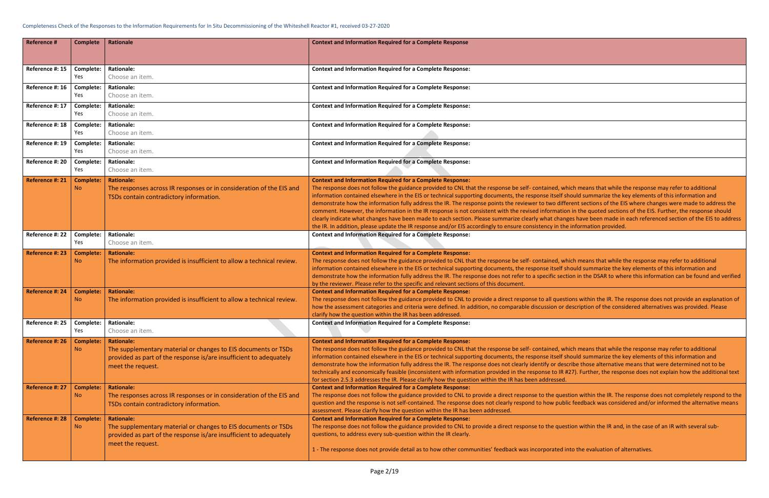vhich means that while the response may refer to additional should summarize the key elements of this information and ferent sections of the EIS where changes were made to address the ion in the quoted sections of the EIS. Further, the response should nges have been made in each referenced section of the EIS to address ne information provided.

vhich means that while the response may refer to additional should summarize the key elements of this information and ction in the DSAR to where this information can be found and verified

stions within the IR. The response does not provide an explanation of  $\sigma$  description of the considered alternatives was provided. Please

vhich means that while the response may refer to additional should summarize the key elements of this information and scribe those alternative means that were determined not to be  $t$  #27). Further, the response does not explain how the additional text

estion within the IR. The response does not completely respond to the plic feedback was considered and/or informed the alternative means

estion within the IR and, in the case of an IR with several sub-

into the evaluation of alternatives.

| <b>Reference #</b> | <b>Complete</b>               | Rationale                                                                                                                                                                      | <b>Context and Information Required for a Complete Response</b>                                                                                                                                                                                                                                                                                                                                                                                                                                                                                                                                                                                                                                              |
|--------------------|-------------------------------|--------------------------------------------------------------------------------------------------------------------------------------------------------------------------------|--------------------------------------------------------------------------------------------------------------------------------------------------------------------------------------------------------------------------------------------------------------------------------------------------------------------------------------------------------------------------------------------------------------------------------------------------------------------------------------------------------------------------------------------------------------------------------------------------------------------------------------------------------------------------------------------------------------|
| Reference #: 15    | Complete:<br>Yes              | <b>Rationale:</b><br>Choose an item.                                                                                                                                           | <b>Context and Information Required for a Complete Response:</b>                                                                                                                                                                                                                                                                                                                                                                                                                                                                                                                                                                                                                                             |
| Reference #: 16    | Complete:<br>Yes              | <b>Rationale:</b><br>Choose an item.                                                                                                                                           | <b>Context and Information Required for a Complete Response:</b>                                                                                                                                                                                                                                                                                                                                                                                                                                                                                                                                                                                                                                             |
| Reference #: 17    | Complete:<br>Yes              | <b>Rationale:</b><br>Choose an item.                                                                                                                                           | <b>Context and Information Required for a Complete Response:</b>                                                                                                                                                                                                                                                                                                                                                                                                                                                                                                                                                                                                                                             |
| Reference #: 18    | Complete:<br>Yes              | <b>Rationale:</b><br>Choose an item.                                                                                                                                           | <b>Context and Information Required for a Complete Response:</b>                                                                                                                                                                                                                                                                                                                                                                                                                                                                                                                                                                                                                                             |
| Reference #: 19    | Complete:<br>Yes              | <b>Rationale:</b><br>Choose an item.                                                                                                                                           | <b>Context and Information Required for a Complete Response:</b>                                                                                                                                                                                                                                                                                                                                                                                                                                                                                                                                                                                                                                             |
| Reference #: 20    | Complete:<br>Yes              | <b>Rationale:</b><br>Choose an item.                                                                                                                                           | <b>Context and Information Required for a Complete Response:</b>                                                                                                                                                                                                                                                                                                                                                                                                                                                                                                                                                                                                                                             |
| Reference #: 21    | <b>Complete:</b><br><b>No</b> | <b>Rationale:</b><br>The responses across IR responses or in consideration of the EIS and<br>TSDs contain contradictory information.                                           | <b>Context and Information Required for a Complete Response:</b><br>The response does not follow the guidance provided to CNL that the response be self- contained, wh<br>information contained elsewhere in the EIS or technical supporting documents, the response itself sl<br>demonstrate how the information fully address the IR. The response points the reviewer to two diffe<br>comment. However, the information in the IR response is not consistent with the revised informatio<br>clearly indicate what changes have been made to each section. Please summarize clearly what changes<br>the IR. In addition, please update the IR response and/or EIS accordingly to ensure consistency in the |
| Reference #: 22    | Complete:<br>Yes              | <b>Rationale:</b><br>Choose an item.                                                                                                                                           | <b>Context and Information Required for a Complete Response:</b>                                                                                                                                                                                                                                                                                                                                                                                                                                                                                                                                                                                                                                             |
| Reference #: 23    | <b>Complete:</b><br>No.       | <b>Rationale:</b><br>The information provided is insufficient to allow a technical review.                                                                                     | <b>Context and Information Required for a Complete Response:</b><br>The response does not follow the guidance provided to CNL that the response be self- contained, wh<br>information contained elsewhere in the EIS or technical supporting documents, the response itself sl<br>demonstrate how the information fully address the IR. The response does not refer to a specific sect<br>by the reviewer. Please refer to the specific and relevant sections of this document.                                                                                                                                                                                                                              |
| Reference #: 24    | <b>Complete:</b><br><b>No</b> | <b>Rationale:</b><br>The information provided is insufficient to allow a technical review.                                                                                     | <b>Context and Information Required for a Complete Response:</b><br>The response does not follow the guidance provided to CNL to provide a direct response to all quest<br>how the assessment categories and criteria were defined. In addition, no comparable discussion or c<br>clarify how the question within the IR has been addressed.                                                                                                                                                                                                                                                                                                                                                                 |
| Reference #: 25    | Complete:<br>Yes              | <b>Rationale:</b><br>Choose an item.                                                                                                                                           | <b>Context and Information Required for a Complete Response:</b>                                                                                                                                                                                                                                                                                                                                                                                                                                                                                                                                                                                                                                             |
| Reference #: 26    | <b>Complete:</b><br>No.       | <b>Rationale:</b><br>The supplementary material or changes to EIS documents or TSDs<br>provided as part of the response is/are insufficient to adequately<br>meet the request. | <b>Context and Information Required for a Complete Response:</b><br>The response does not follow the guidance provided to CNL that the response be self- contained, wh<br>information contained elsewhere in the EIS or technical supporting documents, the response itself sl<br>demonstrate how the information fully address the IR. The response does not clearly identify or deso<br>technically and economically feasible (inconsistent with information provided in the response to IR #<br>for section 2.5.3 addresses the IR. Please clarify how the question within the IR has been addressed.                                                                                                     |
| Reference #: 27    | <b>Complete:</b><br><b>No</b> | <b>Rationale:</b><br>The responses across IR responses or in consideration of the EIS and<br>TSDs contain contradictory information.                                           | <b>Context and Information Required for a Complete Response:</b><br>The response does not follow the guidance provided to CNL to provide a direct response to the ques<br>question and the response is not self-contained. The response does not clearly respond to how publi<br>assessment. Please clarify how the question within the IR has been addressed.                                                                                                                                                                                                                                                                                                                                               |
| Reference #: 28    | <b>Complete:</b><br>No        | <b>Rationale:</b><br>The supplementary material or changes to EIS documents or TSDs<br>provided as part of the response is/are insufficient to adequately<br>meet the request. | <b>Context and Information Required for a Complete Response:</b><br>The response does not follow the guidance provided to CNL to provide a direct response to the ques<br>questions, to address every sub-question within the IR clearly.<br>1 - The response does not provide detail as to how other communities' feedback was incorporated in                                                                                                                                                                                                                                                                                                                                                              |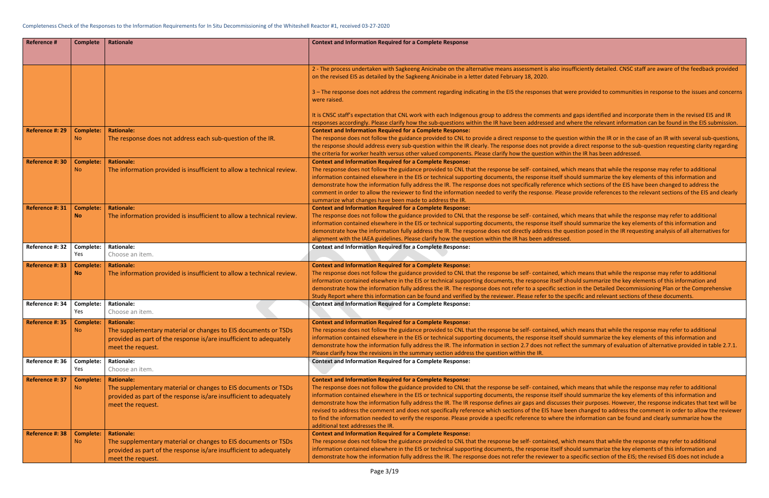isufficiently detailed. CNSC staff are aware of the feedback provided

were provided to communities in response to the issues and concerns

nd gaps identified and incorporate them in the revised EIS and IR where the relevant information can be found in the EIS submission.

stion within the IR or in the case of an IR with several sub-questions, e a direct response to the sub-question requesting clarity regarding in the IR has been addressed.

thich means that while the response may refer to additional should summarize the key elements of this information and which sections of the EIS have been changed to address the se provide references to the relevant sections of the EIS and clearly

thich means that while the response may refer to additional should summarize the key elements of this information and question posed in the IR requesting analysis of all alternatives for

hich means that while the response may refer to additional should summarize the key elements of this information and tion in the Detailed Decommissioning Plan or the Comprehensive specific and relevant sections of these documents.

thich means that while the response may refer to additional should summarize the key elements of this information and ct the summary of evaluation of alternative provided in table 2.7.1.

thich means that while the response may refer to additional should summarize the key elements of this information and es their purposes. However, the response indicates that text will be been changed to address the comment in order to allow the reviewer the information can be found and clearly summarize how the

hich means that while the response may refer to additional should summarize the key elements of this information and a specific section of the EIS; the revised EIS does not include a

| <b>Reference #</b> | <b>Complete</b>               | Rationale                                                                                                                                                                      | <b>Context and Information Required for a Complete Response</b>                                                                                                                                                                                                                                                                                                                                                                                                                                                                                                                                                                                 |
|--------------------|-------------------------------|--------------------------------------------------------------------------------------------------------------------------------------------------------------------------------|-------------------------------------------------------------------------------------------------------------------------------------------------------------------------------------------------------------------------------------------------------------------------------------------------------------------------------------------------------------------------------------------------------------------------------------------------------------------------------------------------------------------------------------------------------------------------------------------------------------------------------------------------|
|                    |                               |                                                                                                                                                                                |                                                                                                                                                                                                                                                                                                                                                                                                                                                                                                                                                                                                                                                 |
|                    |                               |                                                                                                                                                                                | 2 - The process undertaken with Sagkeeng Anicinabe on the alternative means assessment is also insu<br>on the revised EIS as detailed by the Sagkeeng Anicinabe in a letter dated February 18, 2020.                                                                                                                                                                                                                                                                                                                                                                                                                                            |
|                    |                               |                                                                                                                                                                                | 3 - The response does not address the comment regarding indicating in the EIS the responses that we<br>were raised.                                                                                                                                                                                                                                                                                                                                                                                                                                                                                                                             |
|                    |                               |                                                                                                                                                                                | It is CNSC staff's expectation that CNL work with each Indigenous group to address the comments and<br>responses accordingly. Please clarify how the sub-questions within the IR have been addressed and w                                                                                                                                                                                                                                                                                                                                                                                                                                      |
| Reference #: 29    | <b>Complete:</b><br><b>No</b> | <b>Rationale:</b><br>The response does not address each sub-question of the IR.                                                                                                | <b>Context and Information Required for a Complete Response:</b><br>The response does not follow the guidance provided to CNL to provide a direct response to the questi<br>the response should address every sub-question within the IR clearly. The response does not provide<br>the criteria for worker health versus other valued components. Please clarify how the question within                                                                                                                                                                                                                                                        |
| Reference #: 30    | <b>Complete:</b><br>No.       | <b>Rationale:</b><br>The information provided is insufficient to allow a technical review.                                                                                     | <b>Context and Information Required for a Complete Response:</b><br>The response does not follow the guidance provided to CNL that the response be self- contained, whi<br>information contained elsewhere in the EIS or technical supporting documents, the response itself she<br>demonstrate how the information fully address the IR. The response does not specifically reference w<br>comment in order to allow the reviewer to find the information needed to verify the response. Please<br>summarize what changes have been made to address the IR.                                                                                    |
| Reference #: 31    | <b>Complete:</b><br><b>No</b> | <b>Rationale:</b><br>The information provided is insufficient to allow a technical review.                                                                                     | <b>Context and Information Required for a Complete Response:</b><br>The response does not follow the guidance provided to CNL that the response be self- contained, whi<br>information contained elsewhere in the EIS or technical supporting documents, the response itself she<br>demonstrate how the information fully address the IR. The response does not directly address the qu<br>alignment with the IAEA guidelines. Please clarify how the question within the IR has been addressed.                                                                                                                                                |
| Reference #: 32    | Complete:<br>Yes              | <b>Rationale:</b><br>Choose an item.                                                                                                                                           | <b>Context and Information Required for a Complete Response:</b>                                                                                                                                                                                                                                                                                                                                                                                                                                                                                                                                                                                |
| Reference #: 33    | <b>Complete:</b><br><b>No</b> | <b>Rationale:</b><br>The information provided is insufficient to allow a technical review.                                                                                     | <b>Context and Information Required for a Complete Response:</b><br>The response does not follow the guidance provided to CNL that the response be self- contained, whi<br>information contained elsewhere in the EIS or technical supporting documents, the response itself sh<br>demonstrate how the information fully address the IR. The response does not refer to a specific section<br>Study Report where this information can be found and verified by the reviewer. Please refer to the sp                                                                                                                                             |
| Reference #: 34    | Complete:<br>Yes              | <b>Rationale:</b><br>Choose an item.                                                                                                                                           | <b>Context and Information Required for a Complete Response:</b>                                                                                                                                                                                                                                                                                                                                                                                                                                                                                                                                                                                |
| Reference #: 35    | <b>Complete:</b><br>No.       | <b>Rationale:</b><br>The supplementary material or changes to EIS documents or TSDs<br>provided as part of the response is/are insufficient to adequately<br>meet the request. | <b>Context and Information Required for a Complete Response:</b><br>The response does not follow the guidance provided to CNL that the response be self- contained, whi<br>information contained elsewhere in the EIS or technical supporting documents, the response itself she<br>demonstrate how the information fully address the IR. The information in section 2.7 does not reflect<br>Please clarify how the revisions in the summary section address the question within the IR.                                                                                                                                                        |
| Reference #: 36    | Complete:<br>Yes              | <b>Rationale:</b><br>Choose an item.                                                                                                                                           | <b>Context and Information Required for a Complete Response:</b>                                                                                                                                                                                                                                                                                                                                                                                                                                                                                                                                                                                |
| Reference #: 37    | <b>Complete:</b><br><b>No</b> | <b>Rationale:</b><br>The supplementary material or changes to EIS documents or TSDs<br>provided as part of the response is/are insufficient to adequately<br>meet the request. | <b>Context and Information Required for a Complete Response:</b><br>The response does not follow the guidance provided to CNL that the response be self- contained, whi<br>information contained elsewhere in the EIS or technical supporting documents, the response itself she<br>demonstrate how the information fully address the IR. The IR response defines air gaps and discusses<br>revised to address the comment and does not specifically reference which sections of the EIS have be<br>to find the information needed to verify the response. Please provide a specific reference to where th<br>additional text addresses the IR. |
| Reference #: 38    | <b>Complete:</b><br><b>No</b> | <b>Rationale:</b><br>The supplementary material or changes to EIS documents or TSDs<br>provided as part of the response is/are insufficient to adequately<br>meet the request. | <b>Context and Information Required for a Complete Response:</b><br>The response does not follow the guidance provided to CNL that the response be self- contained, whi<br>information contained elsewhere in the EIS or technical supporting documents, the response itself sh<br>demonstrate how the information fully address the IR. The response does not refer the reviewer to a                                                                                                                                                                                                                                                          |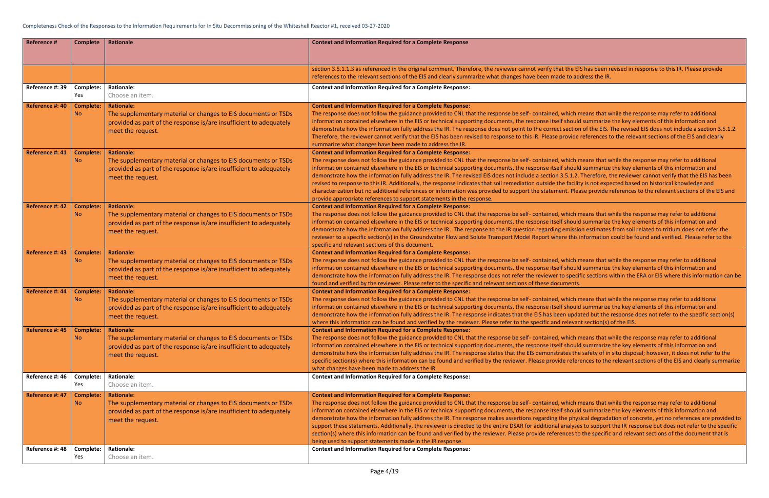the EIS has been revised in response to this IR. Please provide to address the IR.

thich means that while the response may refer to additional should summarize the key elements of this information and section of the EIS. The revised EIS does not include a section 3.5.1.2. rovide references to the relevant sections of the EIS and clearly

thich means that while the response may refer to additional should summarize the key elements of this information and .5.1.2. Therefore, the reviewer cannot verify that the EIS has been facility is not expected based on historical knowledge and nt. Please provide references to the relevant sections of the EIS and

thich means that while the response may refer to additional should summarize the key elements of this information and mission estimates from soil related to tritium does not refer the e this information could be found and verified. Please refer to the

thich means that while the response may refer to additional should summarize the key elements of this information and specific sections within the ERA or EIS where this information can be

thich means that while the response may refer to additional should summarize the key elements of this information and i updated but the response does not refer to the specific section(s) elevant section(s) of the EIS.

vhich means that while the response may refer to additional should summarize the key elements of this information and tes the safety of in situ disposal; however, it does not refer to the references to the relevant sections of the EIS and clearly summarize

thich means that while the response may refer to additional should summarize the key elements of this information and e physical degradation of concrete, yet no references are provided to alyses to support the IR response but does not refer to the specific ices to the specific and relevant sections of the document that is

| <b>Reference #</b>                 | <b>Complete</b>                            | <b>Rationale</b>                                                                                                                                                                                    | <b>Context and Information Required for a Complete Response</b>                                                                                                                                                                                                                                                                                                                                                                                                                                                                                                                                                                                                                                                                                               |
|------------------------------------|--------------------------------------------|-----------------------------------------------------------------------------------------------------------------------------------------------------------------------------------------------------|---------------------------------------------------------------------------------------------------------------------------------------------------------------------------------------------------------------------------------------------------------------------------------------------------------------------------------------------------------------------------------------------------------------------------------------------------------------------------------------------------------------------------------------------------------------------------------------------------------------------------------------------------------------------------------------------------------------------------------------------------------------|
|                                    |                                            |                                                                                                                                                                                                     | section 3.5.1.1.3 as referenced in the original comment. Therefore, the reviewer cannot verify that the EI<br>references to the relevant sections of the EIS and clearly summarize what changes have been made to ad                                                                                                                                                                                                                                                                                                                                                                                                                                                                                                                                          |
| Reference #: 39                    | Complete:<br>Yes                           | <b>Rationale:</b><br>Choose an item.                                                                                                                                                                | <b>Context and Information Required for a Complete Response:</b>                                                                                                                                                                                                                                                                                                                                                                                                                                                                                                                                                                                                                                                                                              |
| Reference #: 40                    | <b>Complete:</b><br>No.                    | <b>Rationale:</b><br>The supplementary material or changes to EIS documents or TSDs<br>provided as part of the response is/are insufficient to adequately<br>meet the request.                      | <b>Context and Information Required for a Complete Response:</b><br>The response does not follow the guidance provided to CNL that the response be self- contained, which n<br>information contained elsewhere in the EIS or technical supporting documents, the response itself should<br>demonstrate how the information fully address the IR. The response does not point to the correct section<br>Therefore, the reviewer cannot verify that the EIS has been revised to response to this IR. Please provide<br>summarize what changes have been made to address the IR.                                                                                                                                                                                 |
| Reference #: 41                    | <b>Complete:</b><br>No.                    | <b>Rationale:</b><br>The supplementary material or changes to EIS documents or TSDs<br>provided as part of the response is/are insufficient to adequately<br>meet the request.                      | <b>Context and Information Required for a Complete Response:</b><br>The response does not follow the guidance provided to CNL that the response be self- contained, which n<br>information contained elsewhere in the EIS or technical supporting documents, the response itself should<br>demonstrate how the information fully address the IR. The revised EIS does not include a section 3.5.1.2.<br>revised to response to this IR. Additionally, the response indicates that soil remediation outside the facilit<br>characterization but no additional references or information was provided to support the statement. Plea<br>provide appropriate references to support statements in the response.                                                   |
| Reference #: 42                    | <b>Complete:</b><br><b>No</b>              | <b>Rationale:</b><br>The supplementary material or changes to EIS documents or TSDs<br>provided as part of the response is/are insufficient to adequately<br>meet the request.                      | <b>Context and Information Required for a Complete Response:</b><br>The response does not follow the guidance provided to CNL that the response be self- contained, which n<br>information contained elsewhere in the EIS or technical supporting documents, the response itself should<br>demonstrate how the information fully address the IR. The response to the IR question regarding emissic<br>reviewer to a specific section(s) in the Groundwater Flow and Solute Transport Model Report where this i<br>specific and relevant sections of this document.                                                                                                                                                                                            |
| Reference #: 43                    | <b>Complete:</b><br>No.                    | <b>Rationale:</b><br>The supplementary material or changes to EIS documents or TSDs<br>provided as part of the response is/are insufficient to adequately<br>meet the request.                      | <b>Context and Information Required for a Complete Response:</b><br>The response does not follow the guidance provided to CNL that the response be self- contained, which n<br>information contained elsewhere in the EIS or technical supporting documents, the response itself should<br>demonstrate how the information fully address the IR. The response does not refer the reviewer to specif<br>found and verified by the reviewer. Please refer to the specific and relevant sections of these documents.                                                                                                                                                                                                                                             |
| Reference #: 44                    | <b>Complete:</b><br><b>No</b>              | <b>Rationale:</b><br>The supplementary material or changes to EIS documents or TSDs<br>provided as part of the response is/are insufficient to adequately<br>meet the request.                      | <b>Context and Information Required for a Complete Response:</b><br>The response does not follow the guidance provided to CNL that the response be self- contained, which n<br>information contained elsewhere in the EIS or technical supporting documents, the response itself should<br>demonstrate how the information fully address the IR. The response indicates that the EIS has been upda<br>where this information can be found and verified by the reviewer. Please refer to the specific and relevan                                                                                                                                                                                                                                              |
| Reference #: 45                    | <b>Complete:</b><br><b>No</b>              | <b>Rationale:</b><br>The supplementary material or changes to EIS documents or TSDs<br>provided as part of the response is/are insufficient to adequately<br>meet the request.                      | <b>Context and Information Required for a Complete Response:</b><br>The response does not follow the guidance provided to CNL that the response be self- contained, which n<br>information contained elsewhere in the EIS or technical supporting documents, the response itself should<br>demonstrate how the information fully address the IR. The response states that the EIS demonstrates the<br>specific section(s) where this information can be found and verified by the reviewer. Please provide refer<br>what changes have been made to address the IR.                                                                                                                                                                                            |
| Reference #: 46                    | Complete:<br>Yes                           | <b>Rationale:</b><br>Choose an item.                                                                                                                                                                | <b>Context and Information Required for a Complete Response:</b>                                                                                                                                                                                                                                                                                                                                                                                                                                                                                                                                                                                                                                                                                              |
| Reference #: 47<br>Reference #: 48 | <b>Complete:</b><br><b>No</b><br>Complete: | <b>Rationale:</b><br>The supplementary material or changes to EIS documents or TSDs<br>provided as part of the response is/are insufficient to adequately<br>meet the request.<br><b>Rationale:</b> | <b>Context and Information Required for a Complete Response:</b><br>The response does not follow the guidance provided to CNL that the response be self- contained, which n<br>information contained elsewhere in the EIS or technical supporting documents, the response itself should<br>demonstrate how the information fully address the IR. The response makes assertions regarding the phys<br>support these statements. Additionally, the reviewer is directed to the entire DSAR for additional analyse<br>section(s) where this information can be found and verified by the reviewer. Please provide references to<br>being used to support statements made in the IR response.<br><b>Context and Information Required for a Complete Response:</b> |
|                                    | Yes                                        | Choose an item.                                                                                                                                                                                     |                                                                                                                                                                                                                                                                                                                                                                                                                                                                                                                                                                                                                                                                                                                                                               |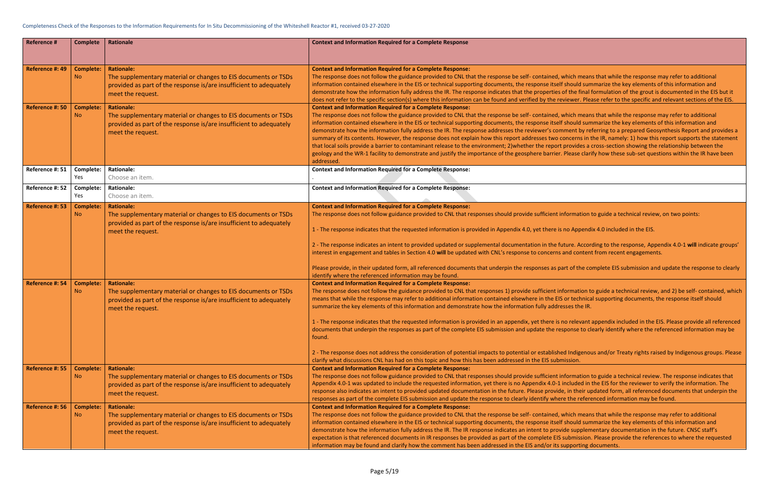vhich means that while the response may refer to additional should summarize the key elements of this information and of the final formulation of the grout is documented in the EIS but it riewer. Please refer to the specific and relevant sections of the EIS.

vhich means that while the response may refer to additional should summarize the key elements of this information and ment by referring to a prepared Geosynthesis Report and provides a oncerns in the IR, namely: 1) how this report supports the statement provides a cross-section showing the relationship between the Please clarify how these sub-set questions within the IR have been

Iformation to guide a technical review, on two points:

no Appendix 4.0 included in the EIS.

ture. According to the response, Appendix 4.0-1 will indicate groups' and content from recent engagements.

rt of the complete EIS submission and update the response to clearly

Formation to guide a technical review, and 2) be self- contained, which or technical supporting documents, the response itself should

10 relevant appendix included in the EIS. Please provide all referenced ponse to clearly identify where the referenced information may be

2 Indigenous and/or Treaty rights raised by Indigenous groups. Please

Iformation to guide a technical review. The response indicates that ncluded in the EIS for the reviewer to verify the information. The , in their updated form, all referenced documents that underpin the the referenced information may be found.

vhich means that while the response may refer to additional should summarize the key elements of this information and de supplementary documentation in the future. CNSC staff's submission. Please provide the references to where the requested ipporting documents.

| <b>Reference #</b>                 | <b>Complete</b>                                   | <b>Rationale</b>                                                                                                                                                                                    | <b>Context and Information Required for a Complete Response</b>                                                                                                                                                                                                                                                                                                                                                                                                                                                                                                                                                                                                                                                                                                                                                                                                                              |
|------------------------------------|---------------------------------------------------|-----------------------------------------------------------------------------------------------------------------------------------------------------------------------------------------------------|----------------------------------------------------------------------------------------------------------------------------------------------------------------------------------------------------------------------------------------------------------------------------------------------------------------------------------------------------------------------------------------------------------------------------------------------------------------------------------------------------------------------------------------------------------------------------------------------------------------------------------------------------------------------------------------------------------------------------------------------------------------------------------------------------------------------------------------------------------------------------------------------|
|                                    |                                                   |                                                                                                                                                                                                     |                                                                                                                                                                                                                                                                                                                                                                                                                                                                                                                                                                                                                                                                                                                                                                                                                                                                                              |
| Reference #: 49                    | <b>Complete:</b><br><b>No</b>                     | <b>Rationale:</b><br>The supplementary material or changes to EIS documents or TSDs<br>provided as part of the response is/are insufficient to adequately<br>meet the request.                      | <b>Context and Information Required for a Complete Response:</b><br>The response does not follow the guidance provided to CNL that the response be self- contained, which mear<br>information contained elsewhere in the EIS or technical supporting documents, the response itself should sun<br>demonstrate how the information fully address the IR. The response indicates that the properties of the final                                                                                                                                                                                                                                                                                                                                                                                                                                                                              |
| Reference #: 50                    | <b>Complete:</b><br><b>No</b>                     | <b>Rationale:</b><br>The supplementary material or changes to EIS documents or TSDs<br>provided as part of the response is/are insufficient to adequately<br>meet the request.                      | does not refer to the specific section(s) where this information can be found and verified by the reviewer. Ple<br><b>Context and Information Required for a Complete Response:</b><br>The response does not follow the guidance provided to CNL that the response be self- contained, which mear<br>information contained elsewhere in the EIS or technical supporting documents, the response itself should sun<br>demonstrate how the information fully address the IR. The response addresses the reviewer's comment by re<br>summary of its contents. However, the response does not explain how this report addresses two concerns in<br>that local soils provide a barrier to contaminant release to the environment; 2) whether the report provides a<br>geology and the WR-1 facility to demonstrate and justify the importance of the geosphere barrier. Please clar<br>addressed. |
| Reference #: 51                    | Complete:<br>Yes                                  | <b>Rationale:</b><br>Choose an item.                                                                                                                                                                | <b>Context and Information Required for a Complete Response:</b>                                                                                                                                                                                                                                                                                                                                                                                                                                                                                                                                                                                                                                                                                                                                                                                                                             |
| Reference #: 52                    | Complete:<br>Yes                                  | <b>Rationale:</b><br>Choose an item.                                                                                                                                                                | <b>Context and Information Required for a Complete Response:</b>                                                                                                                                                                                                                                                                                                                                                                                                                                                                                                                                                                                                                                                                                                                                                                                                                             |
| Reference #: 53<br>Reference #: 54 | <b>Complete:</b><br><b>No</b><br><b>Complete:</b> | <b>Rationale:</b><br>The supplementary material or changes to EIS documents or TSDs<br>provided as part of the response is/are insufficient to adequately<br>meet the request.<br><b>Rationale:</b> | <b>Context and Information Required for a Complete Response:</b><br>The response does not follow guidance provided to CNL that responses should provide sufficient information<br>1 - The response indicates that the requested information is provided in Appendix 4.0, yet there is no Append<br>2 - The response indicates an intent to provided updated or supplemental documentation in the future. Accor<br>interest in engagement and tables in Section 4.0 will be updated with CNL's response to concerns and conten<br>Please provide, in their updated form, all referenced documents that underpin the responses as part of the co<br>identify where the referenced information may be found.<br><b>Context and Information Required for a Complete Response:</b>                                                                                                                |
|                                    | <b>No</b>                                         | The supplementary material or changes to EIS documents or TSDs<br>provided as part of the response is/are insufficient to adequately<br>meet the request.                                           | The response does not follow the guidance provided to CNL that responses 1) provide sufficient information t<br>means that while the response may refer to additional information contained elsewhere in the EIS or technica<br>summarize the key elements of this information and demonstrate how the information fully addresses the IR.<br>1 - The response indicates that the requested information is provided in an appendix, yet there is no relevant<br>documents that underpin the responses as part of the complete EIS submission and update the response to cl<br>found.<br>2 - The response does not address the consideration of potential impacts to potential or established Indigeno<br>clarify what discussions CNL has had on this topic and how this has been addressed in the EIS submission.                                                                           |
| Reference #: 55                    | <b>Complete:</b><br>N <sub>o</sub>                | <b>Rationale:</b><br>The supplementary material or changes to EIS documents or TSDs<br>provided as part of the response is/are insufficient to adequately<br>meet the request.                      | <b>Context and Information Required for a Complete Response:</b><br>The response does not follow guidance provided to CNL that responses should provide sufficient information<br>Appendix 4.0-1 was updated to include the requested information, yet there is no Appendix 4.0-1 included in<br>response also indicates an intent to provided updated documentation in the future. Please provide, in their up<br>responses as part of the complete EIS submission and update the response to clearly identify where the refer                                                                                                                                                                                                                                                                                                                                                              |
| Reference #: 56                    | <b>Complete:</b><br>N <sub>o</sub>                | <b>Rationale:</b><br>The supplementary material or changes to EIS documents or TSDs<br>provided as part of the response is/are insufficient to adequately<br>meet the request.                      | <b>Context and Information Required for a Complete Response:</b><br>The response does not follow the guidance provided to CNL that the response be self- contained, which mear<br>information contained elsewhere in the EIS or technical supporting documents, the response itself should sun<br>demonstrate how the information fully address the IR. The IR response indicates an intent to provide supplem<br>expectation is that referenced documents in IR responses be provided as part of the complete EIS submission<br>information may be found and clarify how the comment has been addressed in the EIS and/or its supporting of                                                                                                                                                                                                                                                 |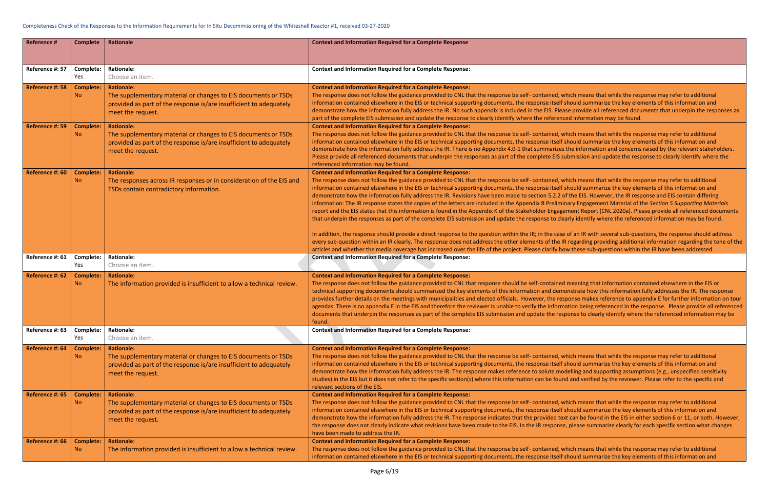#### Completeness Check of the Responses to the Information Requirements for In Situ Decommissioning of the Whiteshell Reactor #1, received 03-27-2020

hich means that while the response may refer to additional should summarize the key elements of this information and se provide all referenced documents that underpin the responses as ed information may be found.

thich means that while the response may refer to additional should summarize the key elements of this information and the information and concerns raised by the relevant stakeholders. Ibmission and update the response to clearly identify where the

hich means that while the response may refer to additional should summarize the key elements of this information and f the EIS. However, the IR response and EIS contain differing information: The IR response states the copies of the letters are included in the Appendix B Preliminary Engagement Material of the *Section 5 Supporting Materials*  ment Report (CNL 2020a). Please provide all referenced documents arly identify where the referenced information may be found.

of an IR with several sub-questions, the response should address I regarding providing additional information regarding the tone of the w these sub-questions within the IR have been addressed.

meaning that information contained elsewhere in the EIS or onstrate how this information fully addresses the IR. The response ponse makes reference to appendix E for further information on tour ation being referenced in the response. Please provide all referenced ponse to clearly identify where the referenced information may be

hich means that while the response may refer to additional should summarize the key elements of this information and delling and supporting assumptions (e.g., unspecified sensitivity d and verified by the reviewer. Please refer to the specific and

thich means that while the response may refer to additional should summarize the key elements of this information and t can be found in the EIS in either section 6 or 11, or both. However, , please summarize clearly for each specific section what changes

hich means that while the response may refer to additional should summarize the key elements of this information and

| <b>Reference #</b> | <b>Complete</b>               | <b>Rationale</b>                                                                                                                                                               | <b>Context and Information Required for a Complete Response</b>                                                                                                                                                                                                                                                                                                                                                                                                                                                                                                                                                                                                                                                                                                                                                                                                                                                                                                                                                                 |
|--------------------|-------------------------------|--------------------------------------------------------------------------------------------------------------------------------------------------------------------------------|---------------------------------------------------------------------------------------------------------------------------------------------------------------------------------------------------------------------------------------------------------------------------------------------------------------------------------------------------------------------------------------------------------------------------------------------------------------------------------------------------------------------------------------------------------------------------------------------------------------------------------------------------------------------------------------------------------------------------------------------------------------------------------------------------------------------------------------------------------------------------------------------------------------------------------------------------------------------------------------------------------------------------------|
| Reference #: 57    | Complete:<br>Yes              | <b>Rationale:</b><br>Choose an item.                                                                                                                                           | <b>Context and Information Required for a Complete Response:</b>                                                                                                                                                                                                                                                                                                                                                                                                                                                                                                                                                                                                                                                                                                                                                                                                                                                                                                                                                                |
| Reference #: 58    | <b>Complete:</b><br><b>No</b> | <b>Rationale:</b><br>The supplementary material or changes to EIS documents or TSDs<br>provided as part of the response is/are insufficient to adequately<br>meet the request. | <b>Context and Information Required for a Complete Response:</b><br>The response does not follow the guidance provided to CNL that the response be self-contained, w<br>information contained elsewhere in the EIS or technical supporting documents, the response itself s<br>demonstrate how the information fully address the IR. No such appendix is included in the EIS. Plea<br>part of the complete EIS submission and update the response to clearly identify where the referenc                                                                                                                                                                                                                                                                                                                                                                                                                                                                                                                                        |
| Reference #: 59    | <b>Complete:</b><br>No.       | <b>Rationale:</b><br>The supplementary material or changes to EIS documents or TSDs<br>provided as part of the response is/are insufficient to adequately<br>meet the request. | <b>Context and Information Required for a Complete Response:</b><br>The response does not follow the guidance provided to CNL that the response be self-contained, w<br>information contained elsewhere in the EIS or technical supporting documents, the response itself s<br>demonstrate how the information fully address the IR. There is no Appendix 4.0-1 that summarizes<br>Please provide all referenced documents that underpin the responses as part of the complete EIS su<br>referenced information may be found.                                                                                                                                                                                                                                                                                                                                                                                                                                                                                                   |
| Reference #: 60    | <b>Complete:</b><br><b>No</b> | <b>Rationale:</b><br>The responses across IR responses or in consideration of the EIS and<br>TSDs contain contradictory information.                                           | <b>Context and Information Required for a Complete Response:</b><br>The response does not follow the guidance provided to CNL that the response be self-contained, w<br>information contained elsewhere in the EIS or technical supporting documents, the response itself s<br>demonstrate how the information fully address the IR. Revisions have been made to section 5.2.2 o<br>information: The IR response states the copies of the letters are included in the Appendix B Prelimin<br>report and the EIS states that this information is found in the Appendix K of the Stakeholder Engage<br>that underpin the responses as part of the complete EIS submission and update the response to cle<br>In addition, the response should provide a direct response to the question within the IR; in the case<br>every sub-question within an IR clearly. The response does not address the other elements of the IF<br>articles and whether the media coverage has increased over the life of the project. Please clarify ho |
| Reference #: 61    | Complete:<br>Yes              | <b>Rationale:</b><br>Choose an item.                                                                                                                                           | <b>Context and Information Required for a Complete Response:</b>                                                                                                                                                                                                                                                                                                                                                                                                                                                                                                                                                                                                                                                                                                                                                                                                                                                                                                                                                                |
| Reference #: 62    | <b>Complete:</b><br>No.       | <b>Rationale:</b><br>The information provided is insufficient to allow a technical review.                                                                                     | <b>Context and Information Required for a Complete Response:</b><br>The response does not follow the guidance provided to CNL that response should be self-contained<br>technical supporting documents should summarized the key elements of this information and demo<br>provides further details on the meetings with municipalities and elected officials. However, the res<br>agendas. There is no appendix E in the EIS and therefore the reviewer is unable to verify the inform<br>documents that underpin the responses as part of the complete EIS submission and update the resp<br>found.                                                                                                                                                                                                                                                                                                                                                                                                                            |
| Reference #: 63    | Complete:<br>Yes              | <b>Rationale:</b><br>Choose an item.                                                                                                                                           | <b>Context and Information Required for a Complete Response:</b>                                                                                                                                                                                                                                                                                                                                                                                                                                                                                                                                                                                                                                                                                                                                                                                                                                                                                                                                                                |
| Reference #: 64    | <b>Complete:</b><br>No.       | <b>Rationale:</b><br>The supplementary material or changes to EIS documents or TSDs<br>provided as part of the response is/are insufficient to adequately<br>meet the request. | <b>Context and Information Required for a Complete Response:</b><br>The response does not follow the guidance provided to CNL that the response be self-contained, w<br>information contained elsewhere in the EIS or technical supporting documents, the response itself s<br>demonstrate how the information fully address the IR. The response makes reference to solute mo<br>studies) in the EIS but it does not refer to the specific section(s) where this information can be foun<br>relevant sections of the EIS.                                                                                                                                                                                                                                                                                                                                                                                                                                                                                                      |
| Reference #: 65    | <b>Complete:</b><br>No.       | <b>Rationale:</b><br>The supplementary material or changes to EIS documents or TSDs<br>provided as part of the response is/are insufficient to adequately<br>meet the request. | <b>Context and Information Required for a Complete Response:</b><br>The response does not follow the guidance provided to CNL that the response be self-contained, w<br>information contained elsewhere in the EIS or technical supporting documents, the response itself s<br>demonstrate how the information fully address the IR. The response indicates that the provided tex<br>the response does not clearly indicate what revisions have been made to the EIS. In the IR response<br>have been made to address the IR.                                                                                                                                                                                                                                                                                                                                                                                                                                                                                                   |
| Reference #: 66    | <b>Complete:</b><br><b>No</b> | <b>Rationale:</b><br>The information provided is insufficient to allow a technical review.                                                                                     | <b>Context and Information Required for a Complete Response:</b><br>The response does not follow the guidance provided to CNL that the response be self-contained, w<br>information contained elsewhere in the EIS or technical supporting documents, the response itself :                                                                                                                                                                                                                                                                                                                                                                                                                                                                                                                                                                                                                                                                                                                                                     |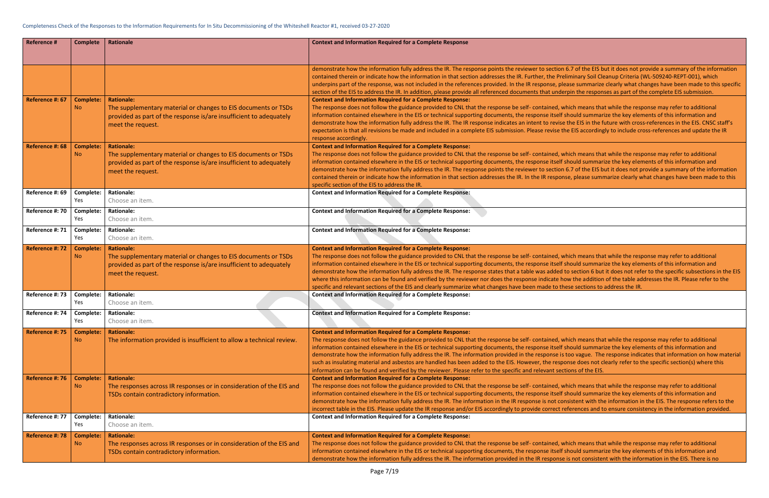6.7 of the EIS but it does not provide a summary of the information liminary Soil Cleanup Criteria (WL-509240-REPT-001), which ase summarize clearly what changes have been made to this specific rpin the responses as part of the complete EIS submission.

hich means that while the response may refer to additional should summarize the key elements of this information and the EIS in the future with cross-references in the EIS. CNSC staff's expectation is that all revisions include all revisions and included in a condingly to include cross-reference

hich means that while the response may refer to additional should summarize the key elements of this information and 6.7 of the EIS but it does not provide a summary of the information se, please summarize clearly what changes have been made to this

hich means that while the response may refer to additional should summarize the key elements of this information and to section 6 but it does not refer to the specific subsections in the EIS. where and by the table addresses the IR. Please refer to the response indicate addition of the addition of the ese sections to address the IR.

hich means that while the response may refer to additional should summarize the key elements of this information and too vague. The response indicates that information on how material onse does not clearly refer to the specific section(s) where this in ions of the EIS.

hich means that while the response may refer to additional should summarize the key elements of this information and nsistent with the information in the EIS. The response refers to the  $\overline{\phantom{a}}$ eferences and to ensure consistency in the information provided.

hich means that while the response may refer to additional should summarize the key elements of this information and is not consistent with the information in the EIS. There is no

| Reference #     | <b>Complete</b>               | Rationale                                                                                                                                                                      | <b>Context and Information Required for a Complete Response</b>                                                                                                                                                                                                                                                                                                                                                                                                                                                             |
|-----------------|-------------------------------|--------------------------------------------------------------------------------------------------------------------------------------------------------------------------------|-----------------------------------------------------------------------------------------------------------------------------------------------------------------------------------------------------------------------------------------------------------------------------------------------------------------------------------------------------------------------------------------------------------------------------------------------------------------------------------------------------------------------------|
|                 |                               |                                                                                                                                                                                |                                                                                                                                                                                                                                                                                                                                                                                                                                                                                                                             |
|                 |                               |                                                                                                                                                                                | demonstrate how the information fully address the IR. The response points the reviewer to section<br>contained therein or indicate how the information in that section addresses the IR. Further, the Pre<br>underpins part of the response, was not included in the references provided. In the IR response, ple                                                                                                                                                                                                           |
|                 |                               |                                                                                                                                                                                | section of the EIS to address the IR. In addition, please provide all referenced documents that under                                                                                                                                                                                                                                                                                                                                                                                                                       |
| Reference #: 67 | <b>Complete:</b><br><b>No</b> | <b>Rationale:</b><br>The supplementary material or changes to EIS documents or TSDs<br>provided as part of the response is/are insufficient to adequately<br>meet the request. | <b>Context and Information Required for a Complete Response:</b><br>The response does not follow the guidance provided to CNL that the response be self- contained, w<br>information contained elsewhere in the EIS or technical supporting documents, the response itself s<br>demonstrate how the information fully address the IR. The IR response indicates an intent to revise<br>expectation is that all revisions be made and included in a complete EIS submission. Please revise th<br>response accordingly.       |
| Reference #: 68 | <b>Complete:</b>              | <b>Rationale:</b>                                                                                                                                                              | <b>Context and Information Required for a Complete Response:</b>                                                                                                                                                                                                                                                                                                                                                                                                                                                            |
|                 | <b>No</b>                     | The supplementary material or changes to EIS documents or TSDs<br>provided as part of the response is/are insufficient to adequately<br>meet the request.                      | The response does not follow the guidance provided to CNL that the response be self-contained, w<br>information contained elsewhere in the EIS or technical supporting documents, the response itself s<br>demonstrate how the information fully address the IR. The response points the reviewer to section<br>contained therein or indicate how the information in that section addresses the IR. In the IR respon.<br>specific section of the EIS to address the IR.                                                     |
| Reference #: 69 | Complete:                     | <b>Rationale:</b>                                                                                                                                                              | <b>Context and Information Required for a Complete Response:</b>                                                                                                                                                                                                                                                                                                                                                                                                                                                            |
|                 | Yes                           | Choose an item.                                                                                                                                                                |                                                                                                                                                                                                                                                                                                                                                                                                                                                                                                                             |
| Reference #: 70 | Complete:<br>Yes              | <b>Rationale:</b><br>Choose an item.                                                                                                                                           | <b>Context and Information Required for a Complete Response:</b>                                                                                                                                                                                                                                                                                                                                                                                                                                                            |
| Reference #: 71 | Complete:<br>Yes              | <b>Rationale:</b><br>Choose an item.                                                                                                                                           | <b>Context and Information Required for a Complete Response:</b>                                                                                                                                                                                                                                                                                                                                                                                                                                                            |
| Reference #: 72 | <b>Complete:</b>              | <b>Rationale:</b>                                                                                                                                                              | <b>Context and Information Required for a Complete Response:</b>                                                                                                                                                                                                                                                                                                                                                                                                                                                            |
|                 | <b>No</b>                     | The supplementary material or changes to EIS documents or TSDs<br>provided as part of the response is/are insufficient to adequately<br>meet the request.                      | The response does not follow the guidance provided to CNL that the response be self- contained, w<br>information contained elsewhere in the EIS or technical supporting documents, the response itself s<br>demonstrate how the information fully address the IR. The response states that a table was added t<br>where this information can be found and verified by the reviewer nor does the response indicate ho<br>specific and relevant sections of the EIS and clearly summarize what changes have been made to th   |
| Reference #: 73 | Complete:                     | <b>Rationale:</b>                                                                                                                                                              | <b>Context and Information Required for a Complete Response:</b>                                                                                                                                                                                                                                                                                                                                                                                                                                                            |
|                 | Yes                           | Choose an item.                                                                                                                                                                |                                                                                                                                                                                                                                                                                                                                                                                                                                                                                                                             |
| Reference #: 74 | Complete:<br>Yes              | <b>Rationale:</b><br>Choose an item.                                                                                                                                           | <b>Context and Information Required for a Complete Response:</b>                                                                                                                                                                                                                                                                                                                                                                                                                                                            |
| Reference #: 75 | <b>Complete:</b>              | <b>Rationale:</b>                                                                                                                                                              | <b>Context and Information Required for a Complete Response:</b>                                                                                                                                                                                                                                                                                                                                                                                                                                                            |
|                 | <b>No</b>                     | The information provided is insufficient to allow a technical review.                                                                                                          | The response does not follow the guidance provided to CNL that the response be self-contained, w<br>information contained elsewhere in the EIS or technical supporting documents, the response itself s<br>demonstrate how the information fully address the IR. The information provided in the response is<br>such as insulating material and asbestos are handled has been added to the EIS. However, the respo<br>information can be found and verified by the reviewer. Please refer to the specific and relevant sect |
| Reference #: 76 | <b>Complete:</b><br><b>No</b> | <b>Rationale:</b><br>The responses across IR responses or in consideration of the EIS and<br>TSDs contain contradictory information.                                           | <b>Context and Information Required for a Complete Response:</b><br>The response does not follow the guidance provided to CNL that the response be self- contained, w<br>information contained elsewhere in the EIS or technical supporting documents, the response itself s<br>demonstrate how the information fully address the IR. The information in the IR response is not cor<br>incorrect table in the EIS. Please update the IR response and/or EIS accordingly to provide correct re                               |
| Reference #: 77 | Complete:<br>Yes              | <b>Rationale:</b><br>Choose an item.                                                                                                                                           | <b>Context and Information Required for a Complete Response:</b>                                                                                                                                                                                                                                                                                                                                                                                                                                                            |
| Reference #: 78 | <b>Complete:</b>              | <b>Rationale:</b>                                                                                                                                                              | <b>Context and Information Required for a Complete Response:</b>                                                                                                                                                                                                                                                                                                                                                                                                                                                            |
|                 | <b>No</b>                     | The responses across IR responses or in consideration of the EIS and<br>TSDs contain contradictory information.                                                                | The response does not follow the guidance provided to CNL that the response be self- contained, w<br>information contained elsewhere in the EIS or technical supporting documents, the response itself s<br>demonstrate how the information fully address the IR. The information provided in the IR response                                                                                                                                                                                                               |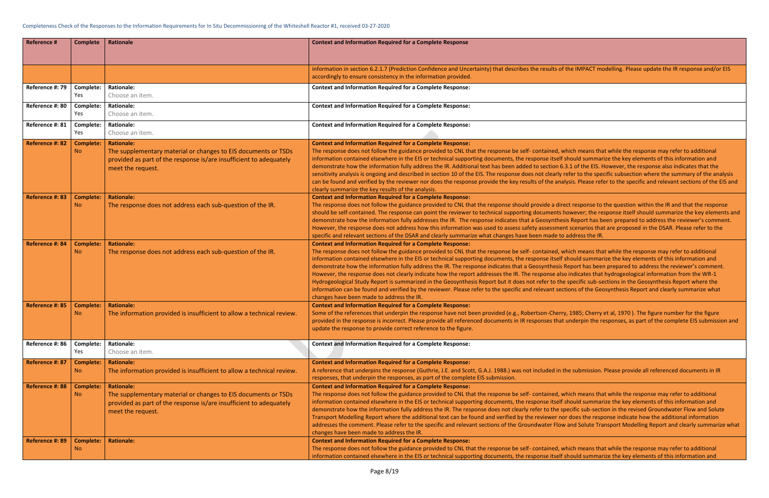## the IMPACT modelling. Please update the IR response and/or EIS

thich means that while the response may refer to additional should summarize the key elements of this information and 3.1 of the EIS. However, the response also indicates that the efer to the specific subsection where the summary of the analysis lysis. Please refer to the specific and relevant sections of the EIS and

ect response to the question within the IR and that the response owever; the response itself should summarize the key elements and is Report has been prepared to address the reviewer's comment. It scenarios that are proposed in the DSAR. Please refer to the address the IR.

thich means that while the response may refer to additional should summarize the key elements of this information and Report has been prepared to address the reviewer's comment. Indicates that hydrogeological information from the WR-1 specific sub-sections in the Geosynthesis Report where the tions of the Geosynthesis Report and clearly summarize what

, 1985; Cherry et al, 1970 ). The figure number for the figure underpin the responses, as part of the complete EIS submission and

he submission. Please provide all referenced documents in IR

thich means that while the response may refer to additional should summarize the key elements of this information and ecific sub-section in the revised Groundwater Flow and Solute r does the response indicate how the additional information and Solute Transport Modelling Report and clearly summarize what

hich means that while the response may refer to additional should summarize the key elements of this information and

| <b>Reference #</b> | <b>Complete</b>               | Rationale                                                                                                                                                                      | <b>Context and Information Required for a Complete Response</b>                                                                                                                                                                                                                                                                                                                                                                                                                                                                                                                                                                                                                                                                                    |
|--------------------|-------------------------------|--------------------------------------------------------------------------------------------------------------------------------------------------------------------------------|----------------------------------------------------------------------------------------------------------------------------------------------------------------------------------------------------------------------------------------------------------------------------------------------------------------------------------------------------------------------------------------------------------------------------------------------------------------------------------------------------------------------------------------------------------------------------------------------------------------------------------------------------------------------------------------------------------------------------------------------------|
|                    |                               |                                                                                                                                                                                | information in section 6.2.1.7 (Prediction Confidence and Uncertainty) that describes the results of<br>accordingly to ensure consistency in the information provided.                                                                                                                                                                                                                                                                                                                                                                                                                                                                                                                                                                             |
| Reference #: 79    | Complete:<br>Yes              | <b>Rationale:</b><br>Choose an item.                                                                                                                                           | <b>Context and Information Required for a Complete Response:</b>                                                                                                                                                                                                                                                                                                                                                                                                                                                                                                                                                                                                                                                                                   |
| Reference #: 80    | Complete:<br>Yes              | <b>Rationale:</b><br>Choose an item.                                                                                                                                           | <b>Context and Information Required for a Complete Response:</b>                                                                                                                                                                                                                                                                                                                                                                                                                                                                                                                                                                                                                                                                                   |
| Reference #: 81    | Complete:<br>Yes              | <b>Rationale:</b><br>Choose an item.                                                                                                                                           | <b>Context and Information Required for a Complete Response:</b>                                                                                                                                                                                                                                                                                                                                                                                                                                                                                                                                                                                                                                                                                   |
| Reference #: 82    | <b>Complete:</b><br><b>No</b> | <b>Rationale:</b><br>The supplementary material or changes to EIS documents or TSDs<br>provided as part of the response is/are insufficient to adequately<br>meet the request. | <b>Context and Information Required for a Complete Response:</b><br>The response does not follow the guidance provided to CNL that the response be self- contained, w<br>information contained elsewhere in the EIS or technical supporting documents, the response itself s<br>demonstrate how the information fully address the IR. Additional text has been added to section 6.<br>sensitivity analysis is ongoing and described in section 10 of the EIS. The response does not clearly r<br>can be found and verified by the reviewer nor does the response provide the key results of the anal<br>clearly summarize the key results of the analysis.                                                                                         |
| Reference #: 83    | <b>Complete:</b><br>No.       | <b>Rationale:</b><br>The response does not address each sub-question of the IR.                                                                                                | <b>Context and Information Required for a Complete Response:</b><br>The response does not follow the guidance provided to CNL that the response should provide a dire<br>should be self-contained. The response can point the reviewer to technical supporting documents h<br>demonstrate how the information fully addresses the IR. The response indicates that a Geosynthes<br>However, the response does not address how this information was used to assess safety assessment<br>specific and relevant sections of the DSAR and clearly summarize what changes have been made to                                                                                                                                                              |
| Reference #: 84    | <b>Complete:</b><br>No.       | <b>Rationale:</b><br>The response does not address each sub-question of the IR.                                                                                                | <b>Context and Information Required for a Complete Response:</b><br>The response does not follow the guidance provided to CNL that the response be self-contained, w<br>information contained elsewhere in the EIS or technical supporting documents, the response itself s<br>demonstrate how the information fully address the IR. The response indicates that a Geosynthesis I<br>However, the response does not clearly indicate how the report addresses the IR. The response also<br>Hydrogeological Study Report is summarized in the Geosynthesis Report but it does not refer to the<br>information can be found and verified by the reviewer. Please refer to the specific and relevant sec<br>changes have been made to address the IR. |
| Reference #: 85    | <b>Complete:</b><br><b>No</b> | <b>Rationale:</b><br>The information provided is insufficient to allow a technical review.                                                                                     | <b>Context and Information Required for a Complete Response:</b><br>Some of the references that underpin the response have not been provided (e.g., Robertson-Cherry<br>provided in the response is incorrect. Please provide all referenced documents in IR responses that<br>update the response to provide correct reference to the figure.                                                                                                                                                                                                                                                                                                                                                                                                     |
| Reference #: 86    | Complete:<br>Yes              | <b>Rationale:</b><br>Choose an item.                                                                                                                                           | <b>Context and Information Required for a Complete Response:</b>                                                                                                                                                                                                                                                                                                                                                                                                                                                                                                                                                                                                                                                                                   |
| Reference #: 87    | <b>Complete:</b><br>No.       | <b>Rationale:</b><br>The information provided is insufficient to allow a technical review.                                                                                     | <b>Context and Information Required for a Complete Response:</b><br>A reference that underpins the response (Guthrie, J.E. and Scott, G.A.J. 1988.) was not included in t<br>responses, that underpin the responses, as part of the complete EIS submission.                                                                                                                                                                                                                                                                                                                                                                                                                                                                                       |
| Reference #: 88    | <b>Complete:</b><br><b>No</b> | <b>Rationale:</b><br>The supplementary material or changes to EIS documents or TSDs<br>provided as part of the response is/are insufficient to adequately<br>meet the request. | <b>Context and Information Required for a Complete Response:</b><br>The response does not follow the guidance provided to CNL that the response be self-contained, w<br>information contained elsewhere in the EIS or technical supporting documents, the response itself :<br>demonstrate how the information fully address the IR. The response does not clearly refer to the sp<br>Transport Modelling Report where the additional text can be found and verified by the reviewer no<br>addresses the comment. Please refer to the specific and relevant sections of the Groundwater Flow<br>changes have been made to address the IR.                                                                                                          |
| Reference #: 89    | <b>Complete:</b><br>No.       | <b>Rationale:</b>                                                                                                                                                              | <b>Context and Information Required for a Complete Response:</b><br>The response does not follow the guidance provided to CNL that the response be self-contained, w<br>information contained elsewhere in the EIS or technical supporting documents, the response itself s                                                                                                                                                                                                                                                                                                                                                                                                                                                                        |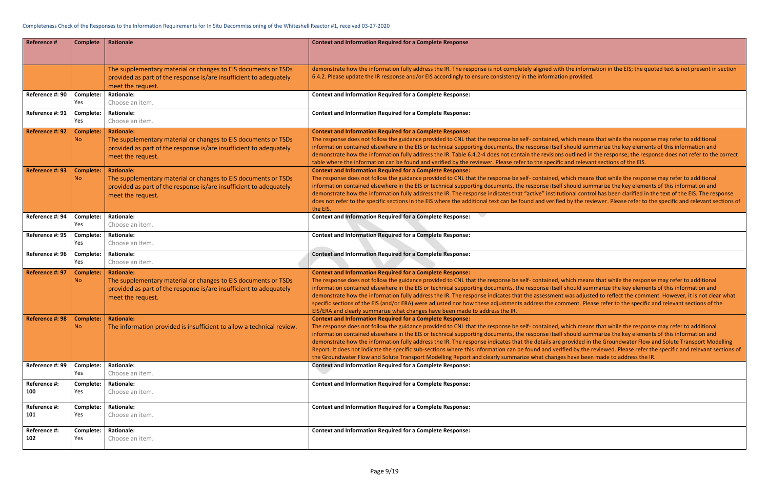i the information in the EIS; the quoted text is not present in section

vhich means that while the response may refer to additional should summarize the key elements of this information and doutlined in the response; the response does not refer to the correct and relevant sections of the EIS.

vhich means that while the response may refer to additional should summarize the key elements of this information and tional control has been clarified in the text of the EIS. The response d by the reviewer. Please refer to the specific and relevant sections of

vhich means that while the response may refer to additional should summarize the key elements of this information and was adjusted to reflect the comment. However, it is not clear what nment. Please refer to the specific and relevant sections of the

vhich means that while the response may refer to additional should summarize the key elements of this information and provided in the Groundwater Flow and Solute Transport Modelling fied by the reviewed. Please refer the specific and relevant sections of s have been made to address the IR.

| <b>Reference #</b>  | <b>Complete</b>         | Rationale                                                                                                                                                                      | <b>Context and Information Required for a Complete Response</b>                                                                                                                                                                                                                                                                                                                                                                                                                                                                                                                                                                                 |
|---------------------|-------------------------|--------------------------------------------------------------------------------------------------------------------------------------------------------------------------------|-------------------------------------------------------------------------------------------------------------------------------------------------------------------------------------------------------------------------------------------------------------------------------------------------------------------------------------------------------------------------------------------------------------------------------------------------------------------------------------------------------------------------------------------------------------------------------------------------------------------------------------------------|
|                     |                         | The supplementary material or changes to EIS documents or TSDs<br>provided as part of the response is/are insufficient to adequately<br>meet the request.                      | demonstrate how the information fully address the IR. The response is not completely aligned with the inform<br>6.4.2. Please update the IR response and/or EIS accordingly to ensure consistency in the information provided.                                                                                                                                                                                                                                                                                                                                                                                                                  |
| Reference #: 90     | Complete:<br>Yes        | <b>Rationale:</b><br>Choose an item.                                                                                                                                           | <b>Context and Information Required for a Complete Response:</b>                                                                                                                                                                                                                                                                                                                                                                                                                                                                                                                                                                                |
| Reference #: 91     | Complete:<br>Yes        | <b>Rationale:</b><br>Choose an item.                                                                                                                                           | <b>Context and Information Required for a Complete Response:</b>                                                                                                                                                                                                                                                                                                                                                                                                                                                                                                                                                                                |
| Reference #: 92     | <b>Complete:</b><br>No. | <b>Rationale:</b><br>The supplementary material or changes to EIS documents or TSDs<br>provided as part of the response is/are insufficient to adequately<br>meet the request. | <b>Context and Information Required for a Complete Response:</b><br>The response does not follow the guidance provided to CNL that the response be self- contained, which means<br>information contained elsewhere in the EIS or technical supporting documents, the response itself should sum<br>demonstrate how the information fully address the IR. Table 6.4.2-4 does not contain the revisions outlined in<br>table where the information can be found and verified by the reviewer. Please refer to the specific and relevar                                                                                                            |
| Reference #: 93     | <b>Complete:</b><br>No. | <b>Rationale:</b><br>The supplementary material or changes to EIS documents or TSDs<br>provided as part of the response is/are insufficient to adequately<br>meet the request. | <b>Context and Information Required for a Complete Response:</b><br>The response does not follow the guidance provided to CNL that the response be self- contained, which means<br>information contained elsewhere in the EIS or technical supporting documents, the response itself should sum<br>demonstrate how the information fully address the IR. The response indicates that "active" institutional contro<br>does not refer to the specific sections in the EIS where the additional text can be found and verified by the rev<br>the EIS.                                                                                             |
| Reference #: 94     | Complete:<br>Yes        | <b>Rationale:</b><br>Choose an item.                                                                                                                                           | <b>Context and Information Required for a Complete Response:</b>                                                                                                                                                                                                                                                                                                                                                                                                                                                                                                                                                                                |
| Reference #: 95     | Complete:<br>Yes        | <b>Rationale:</b><br>Choose an item.                                                                                                                                           | <b>Context and Information Required for a Complete Response:</b>                                                                                                                                                                                                                                                                                                                                                                                                                                                                                                                                                                                |
| Reference #: 96     | Complete:<br>Yes        | <b>Rationale:</b><br>Choose an item.                                                                                                                                           | <b>Context and Information Required for a Complete Response:</b>                                                                                                                                                                                                                                                                                                                                                                                                                                                                                                                                                                                |
| Reference #: 97     | <b>Complete:</b><br>No. | <b>Rationale:</b><br>The supplementary material or changes to EIS documents or TSDs<br>provided as part of the response is/are insufficient to adequately<br>meet the request. | <b>Context and Information Required for a Complete Response:</b><br>The response does not follow the guidance provided to CNL that the response be self- contained, which means<br>information contained elsewhere in the EIS or technical supporting documents, the response itself should sum<br>demonstrate how the information fully address the IR. The response indicates that the assessment was adjusted<br>specific sections of the EIS (and/or ERA) were adjusted nor how these adjustments address the comment. Plea<br>EIS/ERA and clearly summarize what changes have been made to address the IR.                                 |
| Reference #: 98     | No.                     | Complete: Rationale:<br>The information provided is insufficient to allow a technical review.                                                                                  | <b>Context and Information Required for a Complete Response:</b><br>The response does not follow the guidance provided to CNL that the response be self- contained, which means<br>information contained elsewhere in the EIS or technical supporting documents, the response itself should sum<br>demonstrate how the information fully address the IR. The response indicates that the details are provided in<br>Report. It does not indicate the specific sub-sections where this information can be found and verified by the r<br>the Groundwater Flow and Solute Transport Modelling Report and clearly summarize what changes have been |
| Reference #: 99     | Complete:<br>Yes        | <b>Rationale:</b><br>Choose an item.                                                                                                                                           | <b>Context and Information Required for a Complete Response:</b>                                                                                                                                                                                                                                                                                                                                                                                                                                                                                                                                                                                |
| Reference #:<br>100 | Complete:<br>Yes        | <b>Rationale:</b><br>Choose an item.                                                                                                                                           | <b>Context and Information Required for a Complete Response:</b>                                                                                                                                                                                                                                                                                                                                                                                                                                                                                                                                                                                |
| Reference #:<br>101 | Complete:<br>Yes        | <b>Rationale:</b><br>Choose an item.                                                                                                                                           | <b>Context and Information Required for a Complete Response:</b>                                                                                                                                                                                                                                                                                                                                                                                                                                                                                                                                                                                |
| Reference #:<br>102 | Complete:<br>Yes        | <b>Rationale:</b><br>Choose an item.                                                                                                                                           | <b>Context and Information Required for a Complete Response:</b>                                                                                                                                                                                                                                                                                                                                                                                                                                                                                                                                                                                |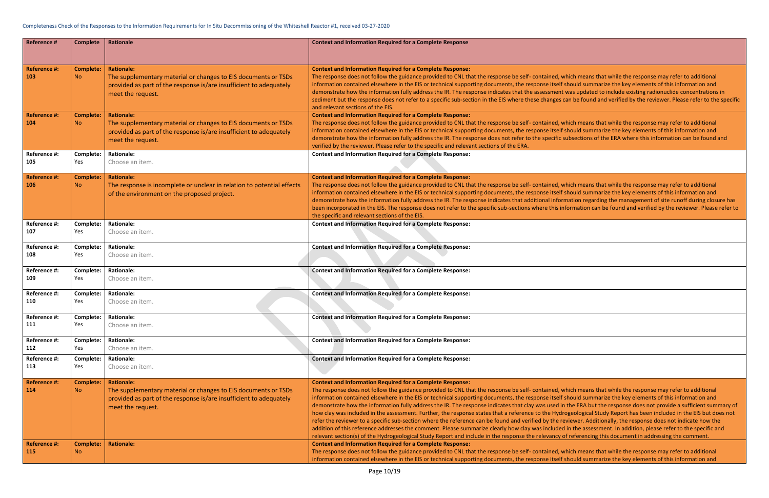thich means that while the response may refer to additional should summarize the key elements of this information and was updated to include existing radionuclide concentrations in an be found and verified by the reviewer. Please refer to the specific

thich means that while the response may refer to additional should summarize the key elements of this information and ubsections of the ERA where this information can be found and

thich means that while the response may refer to additional should summarize the key elements of this information and mation regarding the management of site runoff during closure has and formation can be found and verified by the reviewer. Please refer to

thich means that while the response may refer to additional should summarize the key elements of this information and the ERA but the response does not provide a sufficient summary of ogeological Study Report has been included in the EIS but does not viewer. Additionally, the response does not indicate how the in the assessment. In addition, please refer to the specific and f referencing this document in addressing the comment.

hich means that while the response may refer to additional should summarize the key elements of this information and  $\overline{\phantom{a}}$ 

| <b>Reference #</b>                                | <b>Complete</b>                                   | Rationale                                                                                                                                                                                           | <b>Context and Information Required for a Complete Response</b>                                                                                                                                                                                                                                                                                                                                                                                                                                                                                                                                                                                                                                                                                                                                                                                                                 |
|---------------------------------------------------|---------------------------------------------------|-----------------------------------------------------------------------------------------------------------------------------------------------------------------------------------------------------|---------------------------------------------------------------------------------------------------------------------------------------------------------------------------------------------------------------------------------------------------------------------------------------------------------------------------------------------------------------------------------------------------------------------------------------------------------------------------------------------------------------------------------------------------------------------------------------------------------------------------------------------------------------------------------------------------------------------------------------------------------------------------------------------------------------------------------------------------------------------------------|
| <b>Reference #:</b>                               | <b>Complete:</b>                                  | <b>Rationale:</b>                                                                                                                                                                                   | <b>Context and Information Required for a Complete Response:</b>                                                                                                                                                                                                                                                                                                                                                                                                                                                                                                                                                                                                                                                                                                                                                                                                                |
| 103                                               | <b>No</b>                                         | The supplementary material or changes to EIS documents or TSDs<br>provided as part of the response is/are insufficient to adequately<br>meet the request.                                           | The response does not follow the guidance provided to CNL that the response be self-contained, w<br>information contained elsewhere in the EIS or technical supporting documents, the response itself s<br>demonstrate how the information fully address the IR. The response indicates that the assessment<br>sediment but the response does not refer to a specific sub-section in the EIS where these changes c<br>and relevant sections of the EIS.                                                                                                                                                                                                                                                                                                                                                                                                                         |
| <b>Reference #:</b><br>104                        | <b>Complete:</b><br><b>No</b>                     | <b>Rationale:</b><br>The supplementary material or changes to EIS documents or TSDs<br>provided as part of the response is/are insufficient to adequately<br>meet the request.                      | <b>Context and Information Required for a Complete Response:</b><br>The response does not follow the guidance provided to CNL that the response be self-contained, w<br>information contained elsewhere in the EIS or technical supporting documents, the response itself :<br>demonstrate how the information fully address the IR. The response does not refer to the specific s<br>verified by the reviewer. Please refer to the specific and relevant sections of the ERA.                                                                                                                                                                                                                                                                                                                                                                                                  |
| Reference #:                                      | Complete:                                         | <b>Rationale:</b>                                                                                                                                                                                   | <b>Context and Information Required for a Complete Response:</b>                                                                                                                                                                                                                                                                                                                                                                                                                                                                                                                                                                                                                                                                                                                                                                                                                |
| 105                                               | Yes                                               | Choose an item.                                                                                                                                                                                     |                                                                                                                                                                                                                                                                                                                                                                                                                                                                                                                                                                                                                                                                                                                                                                                                                                                                                 |
| <b>Reference #:</b><br>106                        | <b>Complete:</b><br>N <sub>o</sub>                | <b>Rationale:</b><br>The response is incomplete or unclear in relation to potential effects<br>of the environment on the proposed project.                                                          | <b>Context and Information Required for a Complete Response:</b><br>The response does not follow the guidance provided to CNL that the response be self-contained, w<br>information contained elsewhere in the EIS or technical supporting documents, the response itself s<br>demonstrate how the information fully address the IR. The response indicates that additional inforr<br>been incorporated in the EIS. The response does not refer to the specific sub-sections where this in<br>the specific and relevant sections of the EIS.                                                                                                                                                                                                                                                                                                                                    |
| Reference #:                                      | Complete:                                         | <b>Rationale:</b>                                                                                                                                                                                   | <b>Context and Information Required for a Complete Response:</b>                                                                                                                                                                                                                                                                                                                                                                                                                                                                                                                                                                                                                                                                                                                                                                                                                |
| 107                                               | Yes                                               | Choose an item.                                                                                                                                                                                     |                                                                                                                                                                                                                                                                                                                                                                                                                                                                                                                                                                                                                                                                                                                                                                                                                                                                                 |
| Reference #:                                      | Complete:                                         | <b>Rationale:</b>                                                                                                                                                                                   | <b>Context and Information Required for a Complete Response:</b>                                                                                                                                                                                                                                                                                                                                                                                                                                                                                                                                                                                                                                                                                                                                                                                                                |
| 108                                               | Yes                                               | Choose an item.                                                                                                                                                                                     |                                                                                                                                                                                                                                                                                                                                                                                                                                                                                                                                                                                                                                                                                                                                                                                                                                                                                 |
| Reference #:                                      | Complete:                                         | <b>Rationale:</b>                                                                                                                                                                                   | <b>Context and Information Required for a Complete Response:</b>                                                                                                                                                                                                                                                                                                                                                                                                                                                                                                                                                                                                                                                                                                                                                                                                                |
| 109                                               | Yes                                               | Choose an item.                                                                                                                                                                                     |                                                                                                                                                                                                                                                                                                                                                                                                                                                                                                                                                                                                                                                                                                                                                                                                                                                                                 |
| Reference #:                                      | Complete:                                         | <b>Rationale:</b>                                                                                                                                                                                   | <b>Context and Information Required for a Complete Response:</b>                                                                                                                                                                                                                                                                                                                                                                                                                                                                                                                                                                                                                                                                                                                                                                                                                |
| 110                                               | Yes                                               | Choose an item.                                                                                                                                                                                     |                                                                                                                                                                                                                                                                                                                                                                                                                                                                                                                                                                                                                                                                                                                                                                                                                                                                                 |
| Reference #:                                      | Complete:                                         | <b>Rationale:</b>                                                                                                                                                                                   | <b>Context and Information Required for a Complete Response:</b>                                                                                                                                                                                                                                                                                                                                                                                                                                                                                                                                                                                                                                                                                                                                                                                                                |
| 111                                               | Yes                                               | Choose an item.                                                                                                                                                                                     |                                                                                                                                                                                                                                                                                                                                                                                                                                                                                                                                                                                                                                                                                                                                                                                                                                                                                 |
| Reference #:                                      | Complete:                                         | <b>Rationale:</b>                                                                                                                                                                                   | <b>Context and Information Required for a Complete Response:</b>                                                                                                                                                                                                                                                                                                                                                                                                                                                                                                                                                                                                                                                                                                                                                                                                                |
| 112                                               | Yes                                               | Choose an item.                                                                                                                                                                                     |                                                                                                                                                                                                                                                                                                                                                                                                                                                                                                                                                                                                                                                                                                                                                                                                                                                                                 |
| Reference #:                                      | Complete:                                         | <b>Rationale:</b>                                                                                                                                                                                   | <b>Context and Information Required for a Complete Response:</b>                                                                                                                                                                                                                                                                                                                                                                                                                                                                                                                                                                                                                                                                                                                                                                                                                |
| 113                                               | Yes                                               | Choose an item.                                                                                                                                                                                     |                                                                                                                                                                                                                                                                                                                                                                                                                                                                                                                                                                                                                                                                                                                                                                                                                                                                                 |
| <b>Reference #:</b><br>114<br><b>Reference #:</b> | <b>Complete:</b><br><b>No</b><br><b>Complete:</b> | <b>Rationale:</b><br>The supplementary material or changes to EIS documents or TSDs<br>provided as part of the response is/are insufficient to adequately<br>meet the request.<br><b>Rationale:</b> | <b>Context and Information Required for a Complete Response:</b><br>The response does not follow the guidance provided to CNL that the response be self-contained, w<br>information contained elsewhere in the EIS or technical supporting documents, the response itself s<br>demonstrate how the information fully address the IR. The response indicates that clay was used in<br>how clay was included in the assessment. Further, the response states that a reference to the Hydro<br>refer the reviewer to a specific sub-section where the reference can be found and verified by the re<br>addition of this reference addresses the comment. Please summarize clearly how clay was included<br>relevant section(s) of the Hydrogeological Study Report and include in the response the relevancy o<br><b>Context and Information Required for a Complete Response:</b> |
| 115                                               | <b>No</b>                                         |                                                                                                                                                                                                     | The response does not follow the guidance provided to CNL that the response be self-contained, w<br>information contained elsewhere in the EIS or technical supporting documents, the response itself s                                                                                                                                                                                                                                                                                                                                                                                                                                                                                                                                                                                                                                                                         |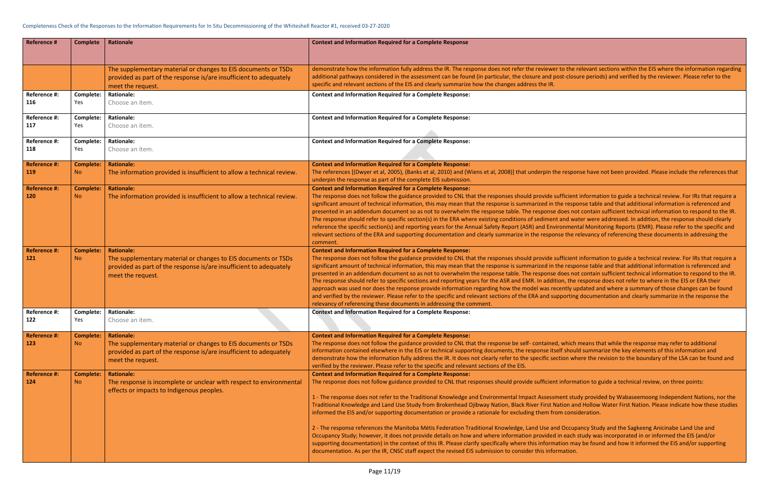the relevant sections within the EIS where the information regarding -closure periods) and verified by the reviewer. Please refer to the

esponse have not been provided. Please include the references that

cient information to guide a technical review. For IRs that require a response table and that additional information is referenced and es not contain sufficient technical information to respond to the IR. Id water were addressed. In addition, the response should clearly imental Monitoring Reports (EMR). Please refer to the specific and the relevancy of referencing these documents in addressing the

icient information to guide a technical review. For IRs that require a response table and that additional information is referenced and es not contain sufficient technical information to respond to the IR. , the response does not refer to where in the EIS or ERA their tly updated and where a summary of those changes can be found prting documentation and clearly summarize in the response the

which means that while the response may refer to additional should summarize the key elements of this information and n where the revision to the boundary of the LSA can be found and

Formation to guide a technical review, on three points:

It study provided by Wabaseemoong Independent Nations, nor the In and Hollow Water First Nation. Please indicate how these studies consideration.

ccupancy Study and the Sagkeeng Anicinabe Land Use and each study was incorporated in or informed the EIS (and/or on may be found and how it informed the EIS and/or supporting

| <b>Reference #</b>                | <b>Complete</b>               | Rationale                                                                                                                                                                      | <b>Context and Information Required for a Complete Response</b>                                                                                                                                                                                                                                                                                                                                                                                                                                                                                                                                                                                                                                                                                                                                                                                                                                                                            |
|-----------------------------------|-------------------------------|--------------------------------------------------------------------------------------------------------------------------------------------------------------------------------|--------------------------------------------------------------------------------------------------------------------------------------------------------------------------------------------------------------------------------------------------------------------------------------------------------------------------------------------------------------------------------------------------------------------------------------------------------------------------------------------------------------------------------------------------------------------------------------------------------------------------------------------------------------------------------------------------------------------------------------------------------------------------------------------------------------------------------------------------------------------------------------------------------------------------------------------|
|                                   |                               | The supplementary material or changes to EIS documents or TSDs<br>provided as part of the response is/are insufficient to adequately<br>meet the request.                      | demonstrate how the information fully address the IR. The response does not refer the reviewer to the I<br>additional pathways considered in the assessment can be found (in particular, the closure and post-closu<br>specific and relevant sections of the EIS and clearly summarize how the changes address the IR.                                                                                                                                                                                                                                                                                                                                                                                                                                                                                                                                                                                                                     |
| Reference #:<br>116               | Complete:<br>Yes              | <b>Rationale:</b><br>Choose an item.                                                                                                                                           | <b>Context and Information Required for a Complete Response:</b>                                                                                                                                                                                                                                                                                                                                                                                                                                                                                                                                                                                                                                                                                                                                                                                                                                                                           |
| Reference #:<br>117               | Complete:<br>Yes              | <b>Rationale:</b><br>Choose an item.                                                                                                                                           | <b>Context and Information Required for a Complete Response:</b>                                                                                                                                                                                                                                                                                                                                                                                                                                                                                                                                                                                                                                                                                                                                                                                                                                                                           |
| Reference #:<br>118               | Complete:<br>Yes              | <b>Rationale:</b><br>Choose an item.                                                                                                                                           | <b>Context and Information Required for a Complete Response:</b>                                                                                                                                                                                                                                                                                                                                                                                                                                                                                                                                                                                                                                                                                                                                                                                                                                                                           |
| Reference #:<br><b>119</b>        | <b>Complete:</b><br><b>No</b> | <b>Rationale:</b><br>The information provided is insufficient to allow a technical review.                                                                                     | <b>Context and Information Required for a Complete Response:</b><br>The references [(Dwyer et al, 2005), (Banks et al, 2010) and (Wiens et al, 2008)] that underpin the respo<br>underpin the response as part of the complete EIS submission.                                                                                                                                                                                                                                                                                                                                                                                                                                                                                                                                                                                                                                                                                             |
| Reference #:<br><b>120</b>        | <b>Complete:</b><br><b>No</b> | <b>Rationale:</b><br>The information provided is insufficient to allow a technical review.                                                                                     | <b>Context and Information Required for a Complete Response:</b><br>The response does not follow the guidance provided to CNL that the responses should provide sufficient<br>significant amount of technical information, this may mean that the response is summarized in the respo<br>presented in an addendum document so as not to overwhelm the response table. The response does no<br>The response should refer to specific section(s) in the ERA where existing conditions of sediment and wa<br>reference the specific section(s) and reporting years for the Annual Safety Report (ASR) and Environmen<br>relevant sections of the ERA and supporting documentation and clearly summarize in the response the r<br>comment.                                                                                                                                                                                                     |
| <b>Reference #:</b><br>121        | <b>Complete:</b><br>No.       | <b>Rationale:</b><br>The supplementary material or changes to EIS documents or TSDs<br>provided as part of the response is/are insufficient to adequately<br>meet the request. | <b>Context and Information Required for a Complete Response:</b><br>The response does not follow the guidance provided to CNL that the responses should provide sufficient<br>significant amount of technical information, this may mean that the response is summarized in the respo<br>presented in an addendum document so as not to overwhelm the response table. The response does no<br>The response should refer to specific sections and reporting years for the ASR and EMR. In addition, the<br>approach was used nor does the response provide information regarding how the model was recently up<br>and verified by the reviewer. Please refer to the specific and relevant sections of the ERA and supporting<br>relevancy of referencing these documents in addressing the comment.                                                                                                                                         |
| Reference #:<br>122               | Complete:<br>Yes              | <b>Rationale:</b><br>Choose an item.                                                                                                                                           | <b>Context and Information Required for a Complete Response:</b>                                                                                                                                                                                                                                                                                                                                                                                                                                                                                                                                                                                                                                                                                                                                                                                                                                                                           |
| <b>Reference #:</b><br><b>123</b> | <b>Complete:</b><br><b>No</b> | <b>Rationale:</b><br>The supplementary material or changes to EIS documents or TSDs<br>provided as part of the response is/are insufficient to adequately<br>meet the request. | <b>Context and Information Required for a Complete Response:</b><br>The response does not follow the guidance provided to CNL that the response be self- contained, which<br>information contained elsewhere in the EIS or technical supporting documents, the response itself shoul<br>demonstrate how the information fully address the IR. It does not clearly refer to the specific section wh<br>verified by the reviewer. Please refer to the specific and relevant sections of the EIS.                                                                                                                                                                                                                                                                                                                                                                                                                                             |
| <b>Reference #:</b><br>124        | <b>Complete:</b><br><b>No</b> | <b>Rationale:</b><br>The response is incomplete or unclear with respect to environmental<br>effects or impacts to Indigenous peoples.                                          | <b>Context and Information Required for a Complete Response:</b><br>The response does not follow guidance provided to CNL that responses should provide sufficient inform<br>1 - The response does not refer to the Traditional Knowledge and Environmental Impact Assessment stu<br>Traditional Knowledge and Land Use Study from Brokenhead Ojibway Nation, Black River First Nation an<br>informed the EIS and/or supporting documentation or provide a rationale for excluding them from consi<br>2 - The response references the Manitoba Métis Federation Traditional Knowledge, Land Use and Occup<br>Occupancy Study; however, it does not provide details on how and where information provided in each<br>supporting documentation) in the context of this IR. Please clarify specifically where this information ma<br>documentation. As per the IR, CNSC staff expect the revised EIS submission to consider this information. |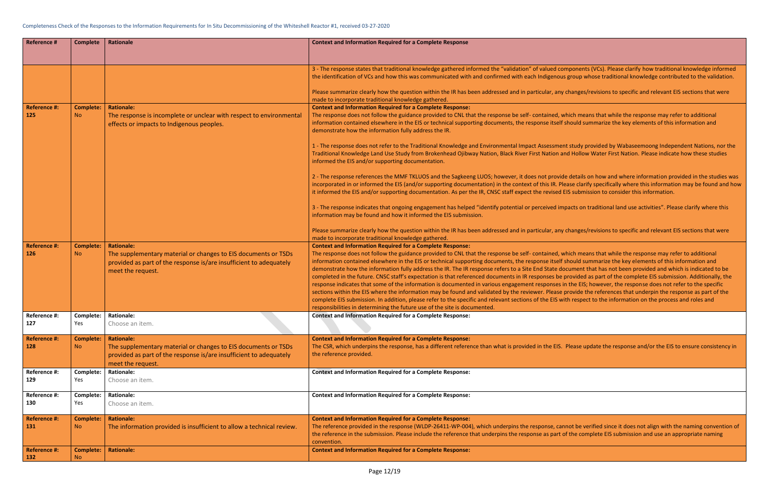mponents (VCs). Please clarify how traditional knowledge informed s group whose traditional knowledge contributed to the validation.

changes/revisions to specific and relevant EIS sections that were

vhich means that while the response may refer to additional should summarize the key elements of this information and

nt study provided by Wabaseemoong Independent Nations, nor the nd Hollow Water First Nation. Please indicate how these studies

le details on how and where information provided in the studies was ease clarify specifically where this information may be found and how EIS submission to consider this information.

pacts on traditional land use activities". Please clarify where this potential or perceived in

changes/revisions to specific and relevant EIS sections that were

vhich means that while the response may refer to additional should summarize the key elements of this information and ocument that has not been provided and which is indicated to be provided as part of the complete EIS submission. Additionally, the in the EIS; however, the response does not refer to the specific provide the references that underpin the response as part of the ith respect to the information on the process and roles and

Please update the response and/or the EIS to ensure consistency in

anot be verified since it does not align with the naming convention of of the complete EIS submission and use an appropriate naming

| <b>Reference #</b>         | <b>Complete</b>               | Rationale                                                                                                                                                 | <b>Context and Information Required for a Complete Response</b>                                                                                                                                                                                                                                                                                                                                                                                                                                                                                                                                                                                                                                                                                                                                                  |
|----------------------------|-------------------------------|-----------------------------------------------------------------------------------------------------------------------------------------------------------|------------------------------------------------------------------------------------------------------------------------------------------------------------------------------------------------------------------------------------------------------------------------------------------------------------------------------------------------------------------------------------------------------------------------------------------------------------------------------------------------------------------------------------------------------------------------------------------------------------------------------------------------------------------------------------------------------------------------------------------------------------------------------------------------------------------|
|                            |                               |                                                                                                                                                           |                                                                                                                                                                                                                                                                                                                                                                                                                                                                                                                                                                                                                                                                                                                                                                                                                  |
|                            |                               |                                                                                                                                                           |                                                                                                                                                                                                                                                                                                                                                                                                                                                                                                                                                                                                                                                                                                                                                                                                                  |
|                            |                               |                                                                                                                                                           | 3 - The response states that traditional knowledge gathered informed the "validation" of valued co<br>the identification of VCs and how this was communicated with and confirmed with each Indigenous                                                                                                                                                                                                                                                                                                                                                                                                                                                                                                                                                                                                            |
|                            |                               |                                                                                                                                                           | Please summarize clearly how the question within the IR has been addressed and in particular, any<br>made to incorporate traditional knowledge gathered.                                                                                                                                                                                                                                                                                                                                                                                                                                                                                                                                                                                                                                                         |
| <b>Reference #:</b><br>125 | <b>Complete:</b><br><b>No</b> | <b>Rationale:</b><br>The response is incomplete or unclear with respect to environmental<br>effects or impacts to Indigenous peoples.                     | <b>Context and Information Required for a Complete Response:</b><br>The response does not follow the guidance provided to CNL that the response be self-contained, w<br>information contained elsewhere in the EIS or technical supporting documents, the response itself<br>demonstrate how the information fully address the IR.                                                                                                                                                                                                                                                                                                                                                                                                                                                                               |
|                            |                               |                                                                                                                                                           | 1 - The response does not refer to the Traditional Knowledge and Environmental Impact Assessmer<br>Traditional Knowledge Land Use Study from Brokenhead Ojibway Nation, Black River First Nation ar<br>informed the EIS and/or supporting documentation.                                                                                                                                                                                                                                                                                                                                                                                                                                                                                                                                                         |
|                            |                               |                                                                                                                                                           | 2 - The response references the MMF TKLUOS and the Sagkeeng LUOS; however, it does not provid<br>incorporated in or informed the EIS (and/or supporting documentation) in the context of this IR. Ple<br>it informed the EIS and/or supporting documentation. As per the IR, CNSC staff expect the revised I                                                                                                                                                                                                                                                                                                                                                                                                                                                                                                     |
|                            |                               |                                                                                                                                                           | 3 - The response indicates that ongoing engagement has helped "identify potential or perceived im<br>information may be found and how it informed the EIS submission.                                                                                                                                                                                                                                                                                                                                                                                                                                                                                                                                                                                                                                            |
|                            |                               |                                                                                                                                                           | Please summarize clearly how the question within the IR has been addressed and in particular, any<br>made to incorporate traditional knowledge gathered.                                                                                                                                                                                                                                                                                                                                                                                                                                                                                                                                                                                                                                                         |
| <b>Reference #:</b>        | <b>Complete:</b>              | <b>Rationale:</b>                                                                                                                                         | <b>Context and Information Required for a Complete Response:</b>                                                                                                                                                                                                                                                                                                                                                                                                                                                                                                                                                                                                                                                                                                                                                 |
| 126                        | N <sub>o</sub>                | The supplementary material or changes to EIS documents or TSDs<br>provided as part of the response is/are insufficient to adequately<br>meet the request. | The response does not follow the guidance provided to CNL that the response be self-contained, w<br>information contained elsewhere in the EIS or technical supporting documents, the response itself<br>demonstrate how the information fully address the IR. The IR response refers to a Site End State do<br>completed in the future. CNSC staff's expectation is that referenced documents in IR responses be<br>response indicates that some of the information is documented in various engagement responses in<br>sections within the EIS where the information may be found and validated by the reviewer. Please<br>complete EIS submission. In addition, please refer to the specific and relevant sections of the EIS wi<br>responsibilities in determining the future use of the site is documented. |
| Reference #:               |                               | Complete:   Rationale:                                                                                                                                    | <b>Context and Information Required for a Complete Response:</b>                                                                                                                                                                                                                                                                                                                                                                                                                                                                                                                                                                                                                                                                                                                                                 |
| 127                        | Yes                           | Choose an item.                                                                                                                                           |                                                                                                                                                                                                                                                                                                                                                                                                                                                                                                                                                                                                                                                                                                                                                                                                                  |
| <b>Reference #:</b>        | Complete:                     | <b>Rationale:</b>                                                                                                                                         | <b>Context and Information Required for a Complete Response:</b>                                                                                                                                                                                                                                                                                                                                                                                                                                                                                                                                                                                                                                                                                                                                                 |
| 128                        | <b>No</b>                     | The supplementary material or changes to EIS documents or TSDs<br>provided as part of the response is/are insufficient to adequately<br>meet the request. | The CSR, which underpins the response, has a different reference than what is provided in the EIS.<br>the reference provided.                                                                                                                                                                                                                                                                                                                                                                                                                                                                                                                                                                                                                                                                                    |
| Reference #:               | Complete:                     | <b>Rationale:</b>                                                                                                                                         | <b>Context and Information Required for a Complete Response:</b>                                                                                                                                                                                                                                                                                                                                                                                                                                                                                                                                                                                                                                                                                                                                                 |
| 129                        | Yes                           | Choose an item.                                                                                                                                           |                                                                                                                                                                                                                                                                                                                                                                                                                                                                                                                                                                                                                                                                                                                                                                                                                  |
| Reference #:               | Complete:                     | <b>Rationale:</b>                                                                                                                                         | <b>Context and Information Required for a Complete Response:</b>                                                                                                                                                                                                                                                                                                                                                                                                                                                                                                                                                                                                                                                                                                                                                 |
| 130                        | Yes                           | Choose an item.                                                                                                                                           |                                                                                                                                                                                                                                                                                                                                                                                                                                                                                                                                                                                                                                                                                                                                                                                                                  |
| <b>Reference #:</b>        | <b>Complete:</b>              | <b>Rationale:</b>                                                                                                                                         | <b>Context and Information Required for a Complete Response:</b>                                                                                                                                                                                                                                                                                                                                                                                                                                                                                                                                                                                                                                                                                                                                                 |
| 131                        | <b>No</b>                     | The information provided is insufficient to allow a technical review.                                                                                     | The reference provided in the response (WLDP-26411-WP-004), which underpins the response, can<br>the reference in the submission. Please include the reference that underpins the response as part o<br>convention.                                                                                                                                                                                                                                                                                                                                                                                                                                                                                                                                                                                              |
| <b>Reference #:</b>        | <b>Complete:</b>              | <b>Rationale:</b>                                                                                                                                         | <b>Context and Information Required for a Complete Response:</b>                                                                                                                                                                                                                                                                                                                                                                                                                                                                                                                                                                                                                                                                                                                                                 |
| 132                        | <b>No</b>                     |                                                                                                                                                           |                                                                                                                                                                                                                                                                                                                                                                                                                                                                                                                                                                                                                                                                                                                                                                                                                  |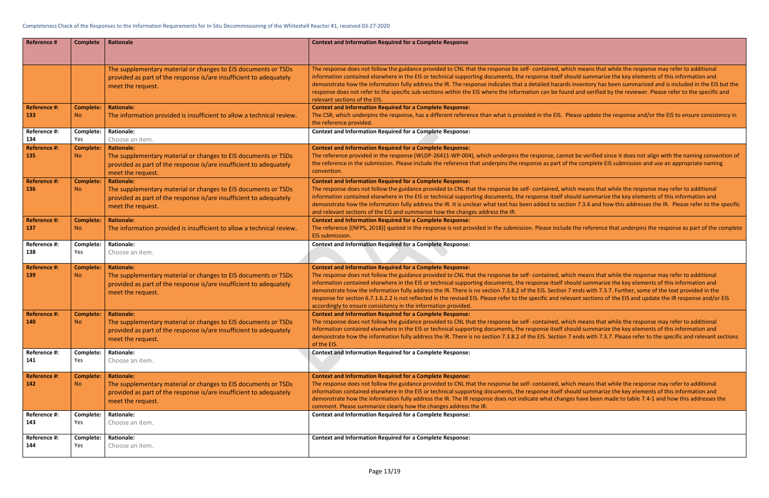which means that while the response may refer to additional should summarize the key elements of this information and rds inventory has been summarized and is included in the EIS but the bund and verified by the reviewer. Please refer to the specific and  $r$ 

Please update the response and/or the EIS to ensure consistency in

anot be verified since it does not align with the naming convention of of the complete EIS submission and use an appropriate naming

which means that while the response may refer to additional should summarize the key elements of this information and ction 7.3.6 and how this addresses the IR. Please refer to the specific

ude the reference that underpins the response as part of the complete

which means that while the response may refer to additional should summarize the key elements of this information and In 7 ends with 7.3.7. Further, some of the text provided in the elevant sections of the EIS and update the IR response and/or EIS

which means that while the response may refer to additional should summarize the key elements of this information and In 7 ends with 7.3.7. Please refer to the specific and relevant sections

which means that while the response may refer to additional should summarize the key elements of this information and nges have been made to table 7.4-1 and how this addresses the

| <b>Reference #</b>         | <b>Complete</b>         | Rationale                                                                           | <b>Context and Information Required for a Complete Response</b>                                                                                                                                          |
|----------------------------|-------------------------|-------------------------------------------------------------------------------------|----------------------------------------------------------------------------------------------------------------------------------------------------------------------------------------------------------|
|                            |                         |                                                                                     |                                                                                                                                                                                                          |
|                            |                         |                                                                                     |                                                                                                                                                                                                          |
|                            |                         | The supplementary material or changes to EIS documents or TSDs                      | The response does not follow the guidance provided to CNL that the response be self- contained, v                                                                                                        |
|                            |                         | provided as part of the response is/are insufficient to adequately                  | information contained elsewhere in the EIS or technical supporting documents, the response itself                                                                                                        |
|                            |                         | meet the request.                                                                   | demonstrate how the information fully address the IR. The response indicates that a detailed haza<br>response does not refer to the specific sub-sections within the EIS where the information can be fo |
|                            |                         |                                                                                     | relevant sections of the EIS.                                                                                                                                                                            |
| <b>Reference #:</b>        | <b>Complete:</b>        | <b>Rationale:</b>                                                                   | <b>Context and Information Required for a Complete Response:</b>                                                                                                                                         |
| 133                        | <b>No</b>               | The information provided is insufficient to allow a technical review.               | The CSR, which underpins the response, has a different reference than what is provided in the EIS.                                                                                                       |
|                            |                         |                                                                                     | the reference provided.                                                                                                                                                                                  |
| Reference #:               | Complete:               | <b>Rationale:</b>                                                                   | <b>Context and Information Required for a Complete Response:</b>                                                                                                                                         |
| 134                        | Yes                     | Choose an item.                                                                     |                                                                                                                                                                                                          |
| <b>Reference #:</b>        | <b>Complete:</b>        | <b>Rationale:</b>                                                                   | <b>Context and Information Required for a Complete Response:</b>                                                                                                                                         |
| 135                        | <b>No</b>               | The supplementary material or changes to EIS documents or TSDs                      | The reference provided in the response (WLDP-26411-WP-004), which underpins the response, ca                                                                                                             |
|                            |                         | provided as part of the response is/are insufficient to adequately                  | the reference in the submission. Please include the reference that underpins the response as part                                                                                                        |
|                            |                         | meet the request.                                                                   | convention.                                                                                                                                                                                              |
| <b>Reference #:</b>        | <b>Complete:</b>        | <b>Rationale:</b>                                                                   | <b>Context and Information Required for a Complete Response:</b>                                                                                                                                         |
| 136                        | <b>No</b>               | The supplementary material or changes to EIS documents or TSDs                      | The response does not follow the guidance provided to CNL that the response be self- contained, v<br>information contained elsewhere in the EIS or technical supporting documents, the response itself   |
|                            |                         | provided as part of the response is/are insufficient to adequately                  | demonstrate how the information fully address the IR. It is unclear what text has been added to se                                                                                                       |
|                            |                         | meet the request.                                                                   | and relevant sections of the EIS and summarize how the changes address the IR.                                                                                                                           |
| <b>Reference #:</b>        | <b>Complete:</b>        | <b>Rationale:</b>                                                                   | <b>Context and Information Required for a Complete Response:</b>                                                                                                                                         |
| 137                        | No.                     | The information provided is insufficient to allow a technical review.               | The reference [(NFPS, 2018)] quoted in the response is not provided in the submission. Please inclu                                                                                                      |
|                            |                         |                                                                                     | EIS submission.                                                                                                                                                                                          |
| Reference #:               | Complete:               | <b>Rationale:</b>                                                                   | <b>Context and Information Required for a Complete Response:</b>                                                                                                                                         |
| 138                        | Yes                     | Choose an item.                                                                     |                                                                                                                                                                                                          |
|                            |                         |                                                                                     |                                                                                                                                                                                                          |
| <b>Reference #:</b><br>139 | <b>Complete:</b><br>No. | <b>Rationale:</b><br>The supplementary material or changes to EIS documents or TSDs | <b>Context and Information Required for a Complete Response:</b><br>The response does not follow the guidance provided to CNL that the response be self- contained, v                                    |
|                            |                         | provided as part of the response is/are insufficient to adequately                  | information contained elsewhere in the EIS or technical supporting documents, the response itself                                                                                                        |
|                            |                         | meet the request.                                                                   | demonstrate how the information fully address the IR. There is no section 7.3.8.2 of the EIS. Sectio                                                                                                     |
|                            |                         |                                                                                     | response for section 6.7.1.6.2.2 is not reflected in the revised EIS. Please refer to the specific and r                                                                                                 |
|                            |                         |                                                                                     | accordingly to ensure consistency in the information provided.                                                                                                                                           |
| <b>Reference #:</b>        | <b>Complete:</b>        | <b>Rationale:</b>                                                                   | <b>Context and Information Required for a Complete Response:</b>                                                                                                                                         |
| 140                        | <b>No</b>               | The supplementary material or changes to EIS documents or TSDs                      | The response does not follow the guidance provided to CNL that the response be self- contained, v                                                                                                        |
|                            |                         | provided as part of the response is/are insufficient to adequately                  | information contained elsewhere in the EIS or technical supporting documents, the response itself                                                                                                        |
|                            |                         | meet the request.                                                                   | demonstrate how the information fully address the IR. There is no section 7.3.8.2 of the EIS. Sectio<br>of the EIS.                                                                                      |
| Reference #:               | Complete:               | <b>Rationale:</b>                                                                   | <b>Context and Information Required for a Complete Response:</b>                                                                                                                                         |
| 141                        | Yes                     | Choose an item.                                                                     |                                                                                                                                                                                                          |
|                            |                         |                                                                                     |                                                                                                                                                                                                          |
| <b>Reference #:</b>        | <b>Complete:</b>        | <b>Rationale:</b>                                                                   | <b>Context and Information Required for a Complete Response:</b>                                                                                                                                         |
| 142                        | <b>No</b>               | The supplementary material or changes to EIS documents or TSDs                      | The response does not follow the guidance provided to CNL that the response be self- contained, v                                                                                                        |
|                            |                         | provided as part of the response is/are insufficient to adequately                  | information contained elsewhere in the EIS or technical supporting documents, the response itself                                                                                                        |
|                            |                         | meet the request.                                                                   | demonstrate how the information fully address the IR. The IR response does not indicate what cha                                                                                                         |
| Reference #:               | Complete:               | <b>Rationale:</b>                                                                   | comment. Please summarize clearly how the changes address the IR.<br><b>Context and Information Required for a Complete Response:</b>                                                                    |
| 143                        | Yes                     | Choose an item.                                                                     |                                                                                                                                                                                                          |
|                            |                         |                                                                                     |                                                                                                                                                                                                          |
| Reference #:               | Complete:               | <b>Rationale:</b>                                                                   | <b>Context and Information Required for a Complete Response:</b>                                                                                                                                         |
| 144                        | Yes                     | Choose an item.                                                                     |                                                                                                                                                                                                          |
|                            |                         |                                                                                     |                                                                                                                                                                                                          |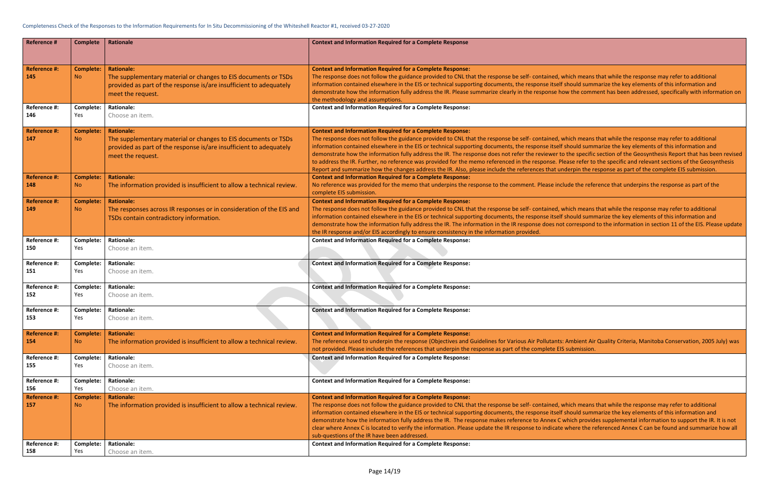### Completeness Check of the Responses to the Information Requirements for In Situ Decommissioning of the Whiteshell Reactor #1, received 03-27-2020

hich means that while the response may refer to additional should summarize the key elements of this information and w the comment has been addressed, specifically with information on

thich means that while the response may refer to additional should summarize the key elements of this information and the specific section of the Geosynthesis Report that has been revised ase refer to the specific and relevant sections of the Geosynthesis derpin the response as part of the complete EIS submission.

ude the reference that underpins the response as part of the

hich means that while the response may refer to additional should summarize the key elements of this information and correspond to the information in section 11 of the EIS. Please update

Ambient Air Quality Criteria, Manitoba Conservation, 2005 July) was submission.

hich means that while the response may refer to additional should summarize the key elements of this information and which provides supplemental information to support the IR. It is not where the referenced Annex C can be found and summarize how all

| <b>Reference #</b>         | <b>Complete</b>               | <b>Rationale</b>                                                                                                                                                               | <b>Context and Information Required for a Complete Response</b>                                                                                                                                                                                                                                                                                                                                                                                                                                                                                                                              |
|----------------------------|-------------------------------|--------------------------------------------------------------------------------------------------------------------------------------------------------------------------------|----------------------------------------------------------------------------------------------------------------------------------------------------------------------------------------------------------------------------------------------------------------------------------------------------------------------------------------------------------------------------------------------------------------------------------------------------------------------------------------------------------------------------------------------------------------------------------------------|
| <b>Reference #:</b><br>145 | <b>Complete:</b><br><b>No</b> | <b>Rationale:</b><br>The supplementary material or changes to EIS documents or TSDs<br>provided as part of the response is/are insufficient to adequately<br>meet the request. | <b>Context and Information Required for a Complete Response:</b><br>The response does not follow the guidance provided to CNL that the response be self- contained, w<br>information contained elsewhere in the EIS or technical supporting documents, the response itself s<br>demonstrate how the information fully address the IR. Please summarize clearly in the response ho<br>the methodology and assumptions.                                                                                                                                                                        |
| Reference #:               | Complete:                     | <b>Rationale:</b>                                                                                                                                                              | <b>Context and Information Required for a Complete Response:</b>                                                                                                                                                                                                                                                                                                                                                                                                                                                                                                                             |
| 146                        | Yes                           | Choose an item.                                                                                                                                                                |                                                                                                                                                                                                                                                                                                                                                                                                                                                                                                                                                                                              |
| <b>Reference #:</b><br>147 | <b>Complete:</b><br><b>No</b> | <b>Rationale:</b><br>The supplementary material or changes to EIS documents or TSDs<br>provided as part of the response is/are insufficient to adequately<br>meet the request. | <b>Context and Information Required for a Complete Response:</b><br>The response does not follow the guidance provided to CNL that the response be self- contained, w<br>information contained elsewhere in the EIS or technical supporting documents, the response itself s<br>demonstrate how the information fully address the IR. The response does not refer the reviewer to<br>to address the IR. Further, no reference was provided for the memo referenced in the response. Ple<br>Report and summarize how the changes address the IR. Also, please include the references that uno |
| <b>Reference #:</b><br>148 | <b>Complete:</b><br><b>No</b> | <b>Rationale:</b><br>The information provided is insufficient to allow a technical review.                                                                                     | <b>Context and Information Required for a Complete Response:</b><br>No reference was provided for the memo that underpins the response to the comment. Please inclu<br>complete EIS submission.                                                                                                                                                                                                                                                                                                                                                                                              |
| <b>Reference #:</b><br>149 | <b>Complete:</b><br><b>No</b> | <b>Rationale:</b><br>The responses across IR responses or in consideration of the EIS and<br>TSDs contain contradictory information.                                           | <b>Context and Information Required for a Complete Response:</b><br>The response does not follow the guidance provided to CNL that the response be self-contained, w<br>information contained elsewhere in the EIS or technical supporting documents, the response itself s<br>demonstrate how the information fully address the IR. The information in the IR response does not<br>the IR response and/or EIS accordingly to ensure consistency in the information provided.                                                                                                                |
| Reference #:               | Complete:                     | <b>Rationale:</b>                                                                                                                                                              | <b>Context and Information Required for a Complete Response:</b>                                                                                                                                                                                                                                                                                                                                                                                                                                                                                                                             |
| 150                        | Yes                           | Choose an item.                                                                                                                                                                |                                                                                                                                                                                                                                                                                                                                                                                                                                                                                                                                                                                              |
| Reference #:               | Complete:                     | <b>Rationale:</b>                                                                                                                                                              | <b>Context and Information Required for a Complete Response:</b>                                                                                                                                                                                                                                                                                                                                                                                                                                                                                                                             |
| 151                        | Yes                           | Choose an item.                                                                                                                                                                |                                                                                                                                                                                                                                                                                                                                                                                                                                                                                                                                                                                              |
| Reference #:               | Complete:                     | <b>Rationale:</b>                                                                                                                                                              | <b>Context and Information Required for a Complete Response:</b>                                                                                                                                                                                                                                                                                                                                                                                                                                                                                                                             |
| 152                        | Yes                           | Choose an item.                                                                                                                                                                |                                                                                                                                                                                                                                                                                                                                                                                                                                                                                                                                                                                              |
| Reference #:               | Complete:                     | <b>Rationale:</b>                                                                                                                                                              | <b>Context and Information Required for a Complete Response:</b>                                                                                                                                                                                                                                                                                                                                                                                                                                                                                                                             |
| 153                        | Yes                           | Choose an item.                                                                                                                                                                |                                                                                                                                                                                                                                                                                                                                                                                                                                                                                                                                                                                              |
| <b>Reference #:</b><br>154 | <b>Complete:</b><br><b>No</b> | <b>Rationale:</b><br>The information provided is insufficient to allow a technical review.                                                                                     | <b>Context and Information Required for a Complete Response:</b><br>The reference used to underpin the response (Objectives and Guidelines for Various Air Pollutants:<br>not provided. Please include the references that underpin the response as part of the complete EIS                                                                                                                                                                                                                                                                                                                 |
| Reference #:               | Complete:                     | <b>Rationale:</b>                                                                                                                                                              | <b>Context and Information Required for a Complete Response:</b>                                                                                                                                                                                                                                                                                                                                                                                                                                                                                                                             |
| 155                        | Yes                           | Choose an item.                                                                                                                                                                |                                                                                                                                                                                                                                                                                                                                                                                                                                                                                                                                                                                              |
| Reference #:               | Complete:                     | <b>Rationale:</b>                                                                                                                                                              | <b>Context and Information Required for a Complete Response:</b>                                                                                                                                                                                                                                                                                                                                                                                                                                                                                                                             |
| 156                        | Yes                           | Choose an item.                                                                                                                                                                |                                                                                                                                                                                                                                                                                                                                                                                                                                                                                                                                                                                              |
| <b>Reference #:</b><br>157 | <b>Complete:</b><br><b>No</b> | <b>Rationale:</b><br>The information provided is insufficient to allow a technical review.                                                                                     | <b>Context and Information Required for a Complete Response:</b><br>The response does not follow the guidance provided to CNL that the response be self-contained, w<br>information contained elsewhere in the EIS or technical supporting documents, the response itself s<br>demonstrate how the information fully address the IR. The response makes reference to Annex C w<br>clear where Annex C is located to verify the information. Please update the IR response to indicate v<br>sub-questions of the IR have been addressed.                                                      |
| Reference #:               | Complete:                     | <b>Rationale:</b>                                                                                                                                                              | <b>Context and Information Required for a Complete Response:</b>                                                                                                                                                                                                                                                                                                                                                                                                                                                                                                                             |
| 158                        | Yes                           | Choose an item.                                                                                                                                                                |                                                                                                                                                                                                                                                                                                                                                                                                                                                                                                                                                                                              |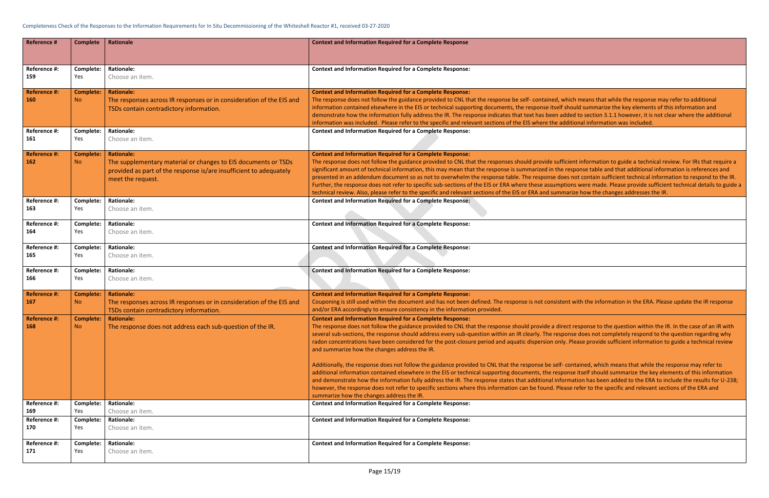### Completeness Check of the Responses to the Information Requirements for In Situ Decommissioning of the Whiteshell Reactor #1, received 03-27-2020

hich means that while the response may refer to additional should summarize the key elements of this information and Ided to section 3.1.1 however, it is not clear where the additional Iditional information was included.

cient information to guide a technical review. For IRs that require a response table and that additional information is references and es not contain sufficient technical information to respond to the IR. furthers, the response or specific sub-sections of the enside sub-sections were made. Please provide assume te arize how the changes addresses the IR.

nt with the information in the ERA. Please update the IR response

ect response to the question within the IR. In the case of an IR with onse does not completely respond to the question regarding why r. Please provide sufficient information to guide a technical review

contained, which means that while the response may refer to anse itself should summarize the key elements of this information rmation has been added to the ERA to include the results for U-238; ase refer to the specific and relevant sections of the ERA and

| <b>Reference #</b>  | <b>Complete</b>  | Rationale                                                            | <b>Context and Information Required for a Complete Response</b>                                                                                                                                              |
|---------------------|------------------|----------------------------------------------------------------------|--------------------------------------------------------------------------------------------------------------------------------------------------------------------------------------------------------------|
|                     |                  |                                                                      |                                                                                                                                                                                                              |
|                     |                  |                                                                      |                                                                                                                                                                                                              |
| Reference #:        | Complete:        | <b>Rationale:</b>                                                    | <b>Context and Information Required for a Complete Response:</b>                                                                                                                                             |
| 159                 | Yes              | Choose an item.                                                      |                                                                                                                                                                                                              |
| <b>Reference #:</b> | <b>Complete:</b> | <b>Rationale:</b>                                                    | <b>Context and Information Required for a Complete Response:</b>                                                                                                                                             |
| 160                 | <b>No</b>        | The responses across IR responses or in consideration of the EIS and | The response does not follow the guidance provided to CNL that the response be self-contained, w                                                                                                             |
|                     |                  | TSDs contain contradictory information.                              | information contained elsewhere in the EIS or technical supporting documents, the response itself :                                                                                                          |
|                     |                  |                                                                      | demonstrate how the information fully address the IR. The response indicates that text has been ac                                                                                                           |
| Reference #:        | Complete:        | <b>Rationale:</b>                                                    | information was included. Please refer to the specific and relevant sections of the EIS where the ad<br><b>Context and Information Required for a Complete Response:</b>                                     |
| 161                 | Yes              | Choose an item.                                                      |                                                                                                                                                                                                              |
|                     |                  |                                                                      |                                                                                                                                                                                                              |
| <b>Reference #:</b> | <b>Complete:</b> | <b>Rationale:</b>                                                    | <b>Context and Information Required for a Complete Response:</b>                                                                                                                                             |
| 162                 | N <sub>o</sub>   | The supplementary material or changes to EIS documents or TSDs       | The response does not follow the guidance provided to CNL that the responses should provide suffi                                                                                                            |
|                     |                  | provided as part of the response is/are insufficient to adequately   | significant amount of technical information, this may mean that the response is summarized in the                                                                                                            |
|                     |                  | meet the request.                                                    | presented in an addendum document so as not to overwhelm the response table. The response do                                                                                                                 |
|                     |                  |                                                                      | Further, the response does not refer to specific sub-sections of the EIS or ERA where these assumpt<br>technical review. Also, please refer to the specific and relevant sections of the EIS or ERA and summ |
| Reference #:        | Complete:        | <b>Rationale:</b>                                                    | <b>Context and Information Required for a Complete Response:</b>                                                                                                                                             |
| 163                 | Yes              | Choose an item.                                                      |                                                                                                                                                                                                              |
|                     |                  |                                                                      |                                                                                                                                                                                                              |
| Reference #:        | Complete:        | <b>Rationale:</b>                                                    | <b>Context and Information Required for a Complete Response:</b>                                                                                                                                             |
| 164                 | Yes              | Choose an item.                                                      |                                                                                                                                                                                                              |
|                     |                  |                                                                      |                                                                                                                                                                                                              |
| Reference #:        | Complete:        | <b>Rationale:</b>                                                    | <b>Context and Information Required for a Complete Response:</b>                                                                                                                                             |
| 165                 | Yes              | Choose an item.                                                      |                                                                                                                                                                                                              |
| Reference #:        | Complete:        | <b>Rationale:</b>                                                    | <b>Context and Information Required for a Complete Response:</b>                                                                                                                                             |
| 166                 | Yes              | Choose an item.                                                      |                                                                                                                                                                                                              |
|                     |                  |                                                                      |                                                                                                                                                                                                              |
| <b>Reference #:</b> | <b>Complete:</b> | <b>Rationale:</b>                                                    | <b>Context and Information Required for a Complete Response:</b>                                                                                                                                             |
| 167                 | N <sub>o</sub>   | The responses across IR responses or in consideration of the EIS and | Couponing is still used within the document and has not been defined. The response is not consiste                                                                                                           |
|                     |                  | TSDs contain contradictory information.                              | and/or ERA accordingly to ensure consistency in the information provided.                                                                                                                                    |
| <b>Reference #:</b> | <b>Complete:</b> | <b>Rationale:</b>                                                    | <b>Context and Information Required for a Complete Response:</b>                                                                                                                                             |
| 168                 | <b>No</b>        | The response does not address each sub-question of the IR.           | The response does not follow the guidance provided to CNL that the response should provide a dire                                                                                                            |
|                     |                  |                                                                      | several sub-sections, the response should address every sub-question within an IR clearly. The resp<br>radon concentrations have been considered for the post-closure period and aquatic dispersion only     |
|                     |                  |                                                                      | and summarize how the changes address the IR.                                                                                                                                                                |
|                     |                  |                                                                      |                                                                                                                                                                                                              |
|                     |                  |                                                                      | Additionally, the response does not follow the guidance provided to CNL that the response be self-                                                                                                           |
|                     |                  |                                                                      | additional information contained elsewhere in the EIS or technical supporting documents, the respo                                                                                                           |
|                     |                  |                                                                      | and demonstrate how the information fully address the IR. The response states that additional info                                                                                                           |
|                     |                  |                                                                      | however, the response does not refer to specific sections where this information can be found. Plea                                                                                                          |
|                     |                  |                                                                      | summarize how the changes address the IR.                                                                                                                                                                    |
| Reference #:        | Complete:        | <b>Rationale:</b>                                                    | <b>Context and Information Required for a Complete Response:</b>                                                                                                                                             |
| 169<br>Reference #: | Yes              | Choose an item.<br><b>Rationale:</b>                                 | <b>Context and Information Required for a Complete Response:</b>                                                                                                                                             |
| 170                 | Complete:<br>Yes | Choose an item.                                                      |                                                                                                                                                                                                              |
|                     |                  |                                                                      |                                                                                                                                                                                                              |
| Reference #:        | Complete:        | <b>Rationale:</b>                                                    | <b>Context and Information Required for a Complete Response:</b>                                                                                                                                             |
| 171                 | Yes              | Choose an item.                                                      |                                                                                                                                                                                                              |
|                     |                  |                                                                      |                                                                                                                                                                                                              |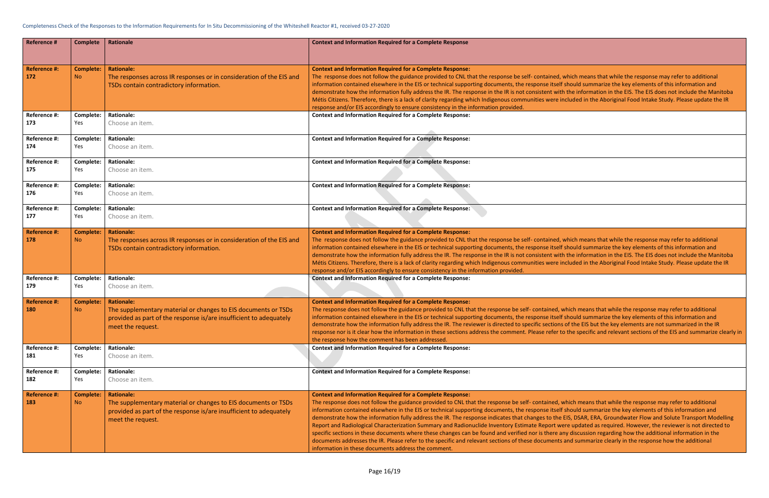vhich means that while the response may refer to additional should summarize the key elements of this information and the information in the EIS. The EIS does not include the Manitoba cluded in the Aboriginal Food Intake Study. Please update the IR

vhich means that while the response may refer to additional should summarize the key elements of this information and the information in the EIS. The EIS does not include the Manitoba cluded in the Aboriginal Food Intake Study. Please update the IR

thich means that while the response may refer to additional should summarize the key elements of this information and of the EIS but the key elements are not summarized in the IR the specific and relevant sections of the EIS and summarize clearly in

hich means that while the response may refer to additional should summarize the key elements of this information and EIS, DSAR, ERA, Groundwater Flow and Solute Transport Modelling re updated as required. However, the reviewer is not directed to ly discussion regarding how the additional information in the and summarize clearly in the response how the additional

| <b>Reference #</b>         | <b>Complete</b>               | Rationale                                                                                                                                                                      | <b>Context and Information Required for a Complete Response</b>                                                                                                                                                                                                                                                                                                                                                                                                                                                                                                                                                                                                                                                                                          |
|----------------------------|-------------------------------|--------------------------------------------------------------------------------------------------------------------------------------------------------------------------------|----------------------------------------------------------------------------------------------------------------------------------------------------------------------------------------------------------------------------------------------------------------------------------------------------------------------------------------------------------------------------------------------------------------------------------------------------------------------------------------------------------------------------------------------------------------------------------------------------------------------------------------------------------------------------------------------------------------------------------------------------------|
| <b>Reference #:</b><br>172 | <b>Complete:</b><br><b>No</b> | <b>Rationale:</b><br>The responses across IR responses or in consideration of the EIS and<br>TSDs contain contradictory information.                                           | <b>Context and Information Required for a Complete Response:</b><br>The response does not follow the guidance provided to CNL that the response be self- contained, v<br>information contained elsewhere in the EIS or technical supporting documents, the response itself s<br>demonstrate how the information fully address the IR. The response in the IR is not consistent with<br>Métis Citizens. Therefore, there is a lack of clarity regarding which Indigenous communities were in<br>response and/or EIS accordingly to ensure consistency in the information provided.                                                                                                                                                                        |
| Reference #:               | Complete:                     | <b>Rationale:</b>                                                                                                                                                              | <b>Context and Information Required for a Complete Response:</b>                                                                                                                                                                                                                                                                                                                                                                                                                                                                                                                                                                                                                                                                                         |
| 173                        | Yes                           | Choose an item.                                                                                                                                                                |                                                                                                                                                                                                                                                                                                                                                                                                                                                                                                                                                                                                                                                                                                                                                          |
| Reference #:               | Complete:                     | <b>Rationale:</b>                                                                                                                                                              | <b>Context and Information Required for a Complete Response:</b>                                                                                                                                                                                                                                                                                                                                                                                                                                                                                                                                                                                                                                                                                         |
| 174                        | Yes                           | Choose an item.                                                                                                                                                                |                                                                                                                                                                                                                                                                                                                                                                                                                                                                                                                                                                                                                                                                                                                                                          |
| Reference #:               | Complete:                     | <b>Rationale:</b>                                                                                                                                                              | <b>Context and Information Required for a Complete Response:</b>                                                                                                                                                                                                                                                                                                                                                                                                                                                                                                                                                                                                                                                                                         |
| 175                        | Yes                           | Choose an item.                                                                                                                                                                |                                                                                                                                                                                                                                                                                                                                                                                                                                                                                                                                                                                                                                                                                                                                                          |
| Reference #:               | Complete:                     | <b>Rationale:</b>                                                                                                                                                              | <b>Context and Information Required for a Complete Response:</b>                                                                                                                                                                                                                                                                                                                                                                                                                                                                                                                                                                                                                                                                                         |
| 176                        | Yes                           | Choose an item.                                                                                                                                                                |                                                                                                                                                                                                                                                                                                                                                                                                                                                                                                                                                                                                                                                                                                                                                          |
| Reference #:               | Complete:                     | <b>Rationale:</b>                                                                                                                                                              | <b>Context and Information Required for a Complete Response:</b>                                                                                                                                                                                                                                                                                                                                                                                                                                                                                                                                                                                                                                                                                         |
| 177                        | Yes                           | Choose an item.                                                                                                                                                                |                                                                                                                                                                                                                                                                                                                                                                                                                                                                                                                                                                                                                                                                                                                                                          |
| Reference #:<br>178        | <b>Complete:</b><br><b>No</b> | <b>Rationale:</b><br>The responses across IR responses or in consideration of the EIS and<br>TSDs contain contradictory information.                                           | <b>Context and Information Required for a Complete Response:</b><br>The response does not follow the guidance provided to CNL that the response be self- contained, v<br>information contained elsewhere in the EIS or technical supporting documents, the response itself s<br>demonstrate how the information fully address the IR. The response in the IR is not consistent with<br>Métis Citizens. Therefore, there is a lack of clarity regarding which Indigenous communities were in<br>response and/or EIS accordingly to ensure consistency in the information provided.                                                                                                                                                                        |
| Reference #:               | Complete:                     | <b>Rationale:</b>                                                                                                                                                              | <b>Context and Information Required for a Complete Response:</b>                                                                                                                                                                                                                                                                                                                                                                                                                                                                                                                                                                                                                                                                                         |
| 179                        | Yes                           | Choose an item.                                                                                                                                                                |                                                                                                                                                                                                                                                                                                                                                                                                                                                                                                                                                                                                                                                                                                                                                          |
| <b>Reference #:</b><br>180 | <b>Complete:</b><br><b>No</b> | <b>Rationale:</b><br>The supplementary material or changes to EIS documents or TSDs<br>provided as part of the response is/are insufficient to adequately<br>meet the request. | <b>Context and Information Required for a Complete Response:</b><br>The response does not follow the guidance provided to CNL that the response be self- contained, w<br>information contained elsewhere in the EIS or technical supporting documents, the response itself s<br>demonstrate how the information fully address the IR. The reviewer is directed to specific sections<br>response nor is it clear how the information in these sections address the comment. Please refer to<br>the response how the comment has been addressed.                                                                                                                                                                                                           |
| Reference #:               | Complete:                     | <b>Rationale:</b>                                                                                                                                                              | <b>Context and Information Required for a Complete Response:</b>                                                                                                                                                                                                                                                                                                                                                                                                                                                                                                                                                                                                                                                                                         |
| 181                        | Yes                           | Choose an item.                                                                                                                                                                |                                                                                                                                                                                                                                                                                                                                                                                                                                                                                                                                                                                                                                                                                                                                                          |
| Reference #:               | Complete:                     | <b>Rationale:</b>                                                                                                                                                              | <b>Context and Information Required for a Complete Response:</b>                                                                                                                                                                                                                                                                                                                                                                                                                                                                                                                                                                                                                                                                                         |
| 182                        | Yes                           | Choose an item.                                                                                                                                                                |                                                                                                                                                                                                                                                                                                                                                                                                                                                                                                                                                                                                                                                                                                                                                          |
| <b>Reference #:</b><br>183 | <b>Complete:</b><br><b>No</b> | <b>Rationale:</b><br>The supplementary material or changes to EIS documents or TSDs<br>provided as part of the response is/are insufficient to adequately<br>meet the request. | <b>Context and Information Required for a Complete Response:</b><br>The response does not follow the guidance provided to CNL that the response be self- contained, w<br>information contained elsewhere in the EIS or technical supporting documents, the response itself :<br>demonstrate how the information fully address the IR. The response indicates that changes to the E<br>Report and Radiological Characterization Summary and Radionuclide Inventory Estimate Report we<br>specific sections in these documents where these changes can be found and verified nor is there an<br>documents addresses the IR. Please refer to the specific and relevant sections of these documents a<br>information in these documents address the comment. |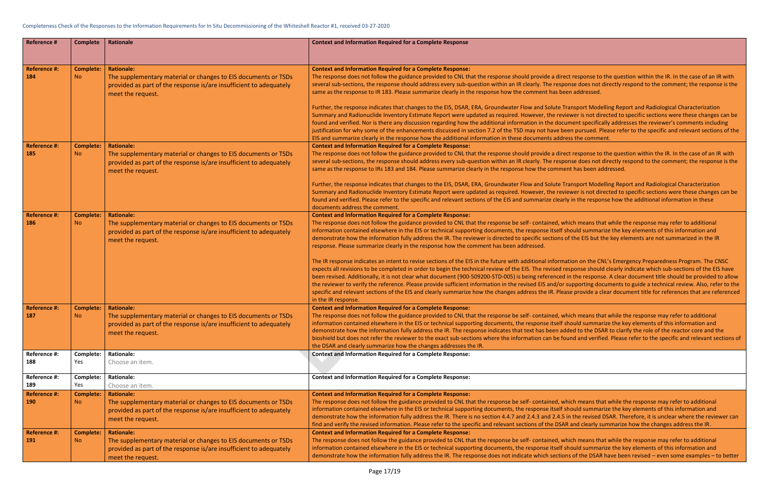ect response to the question within the IR. In the case of an IR with  $\overline{a}$ onse does not directly respond to the comment; the response is the en addressed.

Fransport Modelling Report and Radiological Characterization riewer is not directed to specific sections were these changes can be ament specifically addresses the reviewer's comments including een pursued. Please refer to the specific and relevant sections of the ress the comment.

ect response to the question within the IR. In the case of an IR with onse does not directly respond to the comment; the response is the ent has been addressed.

**Fransport Modelling Report and Radiological Characterization** iewer is not directed to specific sections were these changes can be fy in the response how the additional information in these

thich means that while the response may refer to additional should summarize the key elements of this information and of the EIS but the key elements are not summarized in the IR

ation on the CNL's Emergency Preparedness Program. The CNSC esponse should clearly indicate which sub-sections of the EIS have I in the response. A clear document title should be provided to allow supporting documents to guide a technical review. Also, refer to the ase provide a clear document title for references that are referenced

thich means that while the response may refer to additional should summarize the key elements of this information and dded to the DSAR to clarify the role of the reactor core and the bund and verified. Please refer to the specific and relevant sections of

thich means that while the response may refer to additional should summarize the key elements of this information and in the revised DSAR. Therefore, it is unclear where the reviewer can R and clearly summarize how the changes address the IR.

thich means that while the response may refer to additional should summarize the key elements of this information and ons of the DSAR have been revised – even some examples – to better

| <b>Reference #</b>         | <b>Complete</b>               | Rationale                                                          | <b>Context and Information Required for a Complete Response</b>                                                                                                                                                  |
|----------------------------|-------------------------------|--------------------------------------------------------------------|------------------------------------------------------------------------------------------------------------------------------------------------------------------------------------------------------------------|
|                            |                               |                                                                    |                                                                                                                                                                                                                  |
| <b>Reference #:</b>        | <b>Complete:</b>              | <b>Rationale:</b>                                                  | <b>Context and Information Required for a Complete Response:</b>                                                                                                                                                 |
| 184                        | <b>No</b>                     | The supplementary material or changes to EIS documents or TSDs     | The response does not follow the guidance provided to CNL that the response should provide a dire                                                                                                                |
|                            |                               | provided as part of the response is/are insufficient to adequately | several sub-sections, the response should address every sub-question within an IR clearly. The resp                                                                                                              |
|                            |                               | meet the request.                                                  | same as the response to IR 183. Please summarize clearly in the response how the comment has be                                                                                                                  |
|                            |                               |                                                                    | Further, the response indicates that changes to the EIS, DSAR, ERA, Groundwater Flow and Solute T                                                                                                                |
|                            |                               |                                                                    | Summary and Radionuclide Inventory Estimate Report were updated as required. However, the rev                                                                                                                    |
|                            |                               |                                                                    | found and verified. Nor is there any discussion regarding how the additional information in the doc                                                                                                              |
|                            |                               |                                                                    | justification for why some of the enhancements discussed in section 7.2 of the TSD may not have be                                                                                                               |
|                            |                               |                                                                    | EIS and summarize clearly in the response how the additional information in these documents addr                                                                                                                 |
| <b>Reference #:</b>        | <b>Complete:</b>              | <b>Rationale:</b>                                                  | <b>Context and Information Required for a Complete Response:</b>                                                                                                                                                 |
| 185                        | No.                           | The supplementary material or changes to EIS documents or TSDs     | The response does not follow the guidance provided to CNL that the response should provide a dire                                                                                                                |
|                            |                               | provided as part of the response is/are insufficient to adequately | several sub-sections, the response should address every sub-question within an IR clearly. The resp                                                                                                              |
|                            |                               | meet the request.                                                  | same as the response to IRs 183 and 184. Please summarize clearly in the response how the comme                                                                                                                  |
|                            |                               |                                                                    | Further, the response indicates that changes to the EIS, DSAR, ERA, Groundwater Flow and Solute T                                                                                                                |
|                            |                               |                                                                    | Summary and Radionuclide Inventory Estimate Report were updated as required. However, the rev                                                                                                                    |
|                            |                               |                                                                    | found and verified. Please refer to the specific and relevant sections of the EIS and summarize clear                                                                                                            |
|                            |                               |                                                                    | documents address the comment.                                                                                                                                                                                   |
| <b>Reference #:</b>        | <b>Complete:</b>              | <b>Rationale:</b>                                                  | <b>Context and Information Required for a Complete Response:</b>                                                                                                                                                 |
| 186                        | No.                           | The supplementary material or changes to EIS documents or TSDs     | The response does not follow the guidance provided to CNL that the response be self-contained, w<br>information contained elsewhere in the EIS or technical supporting documents, the response itself :          |
|                            |                               | provided as part of the response is/are insufficient to adequately | demonstrate how the information fully address the IR. The reviewer is directed to specific sections                                                                                                              |
|                            |                               | meet the request.                                                  | response. Please summarize clearly in the response how the comment has been addressed.                                                                                                                           |
|                            |                               |                                                                    |                                                                                                                                                                                                                  |
|                            |                               |                                                                    | The IR response indicates an intent to revise sections of the EIS in the future with additional inform<br>expects all revisions to be completed in order to begin the technical review of the EIS. The revised r |
|                            |                               |                                                                    | been revised. Additionally, it is not clear what document (900-509200-STD-005) is being referenced                                                                                                               |
|                            |                               |                                                                    | the reviewer to verify the reference. Please provide sufficient information in the revised EIS and/or                                                                                                            |
|                            |                               |                                                                    | specific and relevant sections of the EIS and clearly summarize how the changes address the IR. Plea                                                                                                             |
|                            |                               |                                                                    | in the IR response.                                                                                                                                                                                              |
| <b>Reference #:</b>        | <b>Complete:</b>              | <b>Rationale:</b>                                                  | <b>Context and Information Required for a Complete Response:</b>                                                                                                                                                 |
| 187                        | <b>No</b>                     | The supplementary material or changes to EIS documents or TSDs     | The response does not follow the guidance provided to CNL that the response be self-contained, w                                                                                                                 |
|                            |                               | provided as part of the response is/are insufficient to adequately | information contained elsewhere in the EIS or technical supporting documents, the response itself :                                                                                                              |
|                            |                               | meet the request.                                                  | demonstrate how the information fully address the IR. The response indicates that text has been ad                                                                                                               |
|                            |                               |                                                                    | bioshield but does not refer the reviewer to the exact sub-sections where the information can be fo<br>the DSAR and clearly summarize how the changes addresses the IR.                                          |
| Reference #:               | Complete:                     | <b>Rationale:</b>                                                  | <b>Context and Information Required for a Complete Response:</b>                                                                                                                                                 |
| 188                        | Yes                           | Choose an item.                                                    |                                                                                                                                                                                                                  |
| Reference #:               | Complete:                     | <b>Rationale:</b>                                                  | <b>Context and Information Required for a Complete Response:</b>                                                                                                                                                 |
| 189                        | Yes.                          | Choose an item.                                                    |                                                                                                                                                                                                                  |
| <b>Reference #:</b>        | <b>Complete:</b>              | <b>Rationale:</b>                                                  | <b>Context and Information Required for a Complete Response:</b>                                                                                                                                                 |
| <b>190</b>                 | N <sub>o</sub>                | The supplementary material or changes to EIS documents or TSDs     | The response does not follow the guidance provided to CNL that the response be self-contained, w                                                                                                                 |
|                            |                               | provided as part of the response is/are insufficient to adequately | information contained elsewhere in the EIS or technical supporting documents, the response itself :                                                                                                              |
|                            |                               | meet the request.                                                  | demonstrate how the information fully address the IR. There is no section 4.4.7 and 2.4.3 and 2.4.5                                                                                                              |
|                            |                               |                                                                    | find and verify the revised information. Please refer to the specific and relevant sections of the DSA                                                                                                           |
| <b>Reference #:</b><br>191 | <b>Complete:</b><br><b>No</b> | <b>Rationale:</b>                                                  | <b>Context and Information Required for a Complete Response:</b><br>The response does not follow the guidance provided to CNL that the response be self- contained, w                                            |
|                            |                               | The supplementary material or changes to EIS documents or TSDs     | information contained elsewhere in the EIS or technical supporting documents, the response itself :                                                                                                              |
|                            |                               | provided as part of the response is/are insufficient to adequately | demonstrate how the information fully address the IR. The response does not indicate which sectio                                                                                                                |
|                            |                               | meet the request.                                                  |                                                                                                                                                                                                                  |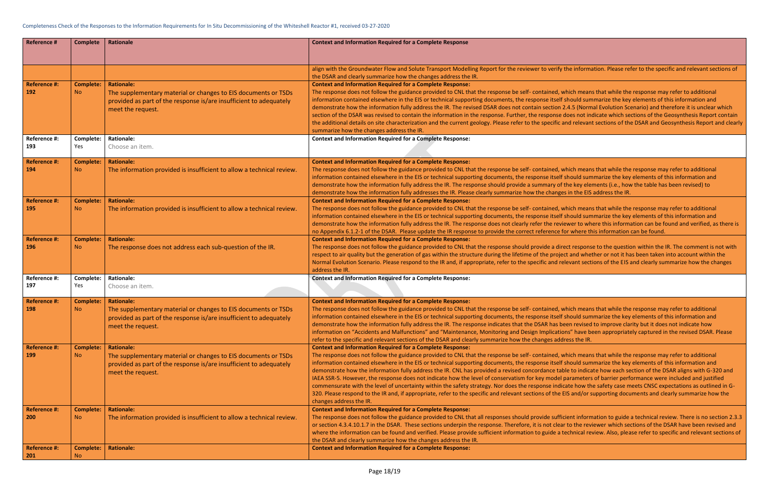## the information. Please refer to the specific and relevant sections of

vhich means that while the response may refer to additional should summarize the key elements of this information and 2.4.5 (Normal Evolution Scenario) and therefore it is unclear which does not indicate which sections of the Geosynthesis Report contain and relevant sections of the DSAR and Geosynthesis Report and clearly

vhich means that while the response may refer to additional should summarize the key elements of this information and the key elements (i.e., how the table has been revised) to es in the EIS address the IR.

vhich means that while the response may refer to additional should summarize the key elements of this information and ewer to where this information can be found and verified, as there is or where this information can be found.

ect response to the question within the IR. The comment is not with ct and whether or not it has been taken into account within the Plevant sections of the EIS and clearly summarize how the changes

vhich means that while the response may refer to additional should summarize the key elements of this information and een revised to improve clarity but it does not indicate how ons" have been appropriately captured in the revised DSAR. Please

vhich means that while the response may refer to additional should summarize the key elements of this information and ble to indicate how each section of the DSAR aligns with G-320 and parameters of barrier performance were included and justified cate how the safety case meets CNSC expectations as outlined in G-EIS and/or supporting documents and clearly summarize how the

cient information to guide a technical review. There is no section 2.3.3 r to the reviewer which sections of the DSAR have been revised and echnical review. Also, please refer to specific and relevant sections of

| <b>Reference #</b>                | <b>Complete</b>                    | <b>Rationale</b>                                                                                                                                                               | <b>Context and Information Required for a Complete Response</b>                                                                                                                                                                                                                                                                                                                                                                                                                                                                                                                                                                                                                                                                                                                                |
|-----------------------------------|------------------------------------|--------------------------------------------------------------------------------------------------------------------------------------------------------------------------------|------------------------------------------------------------------------------------------------------------------------------------------------------------------------------------------------------------------------------------------------------------------------------------------------------------------------------------------------------------------------------------------------------------------------------------------------------------------------------------------------------------------------------------------------------------------------------------------------------------------------------------------------------------------------------------------------------------------------------------------------------------------------------------------------|
|                                   |                                    |                                                                                                                                                                                | align with the Groundwater Flow and Solute Transport Modelling Report for the reviewer to verify the inform<br>the DSAR and clearly summarize how the changes address the IR.                                                                                                                                                                                                                                                                                                                                                                                                                                                                                                                                                                                                                  |
| <b>Reference #:</b><br>192        | <b>Complete:</b><br><b>No</b>      | <b>Rationale:</b><br>The supplementary material or changes to EIS documents or TSDs<br>provided as part of the response is/are insufficient to adequately<br>meet the request. | <b>Context and Information Required for a Complete Response:</b><br>The response does not follow the guidance provided to CNL that the response be self- contained, which mean<br>information contained elsewhere in the EIS or technical supporting documents, the response itself should sun<br>demonstrate how the information fully address the IR. The revised DSAR does not contain section 2.4.5 (Norn<br>section of the DSAR was revised to contain the information in the response. Further, the response does not in<br>the additional details on site characterization and the current geology. Please refer to the specific and relevan<br>summarize how the changes address the IR.                                                                                               |
| Reference #:<br>193               | Complete:<br>Yes                   | <b>Rationale:</b><br>Choose an item.                                                                                                                                           | <b>Context and Information Required for a Complete Response:</b>                                                                                                                                                                                                                                                                                                                                                                                                                                                                                                                                                                                                                                                                                                                               |
| <b>Reference #:</b><br>194        | <b>Complete:</b><br>No.            | <b>Rationale:</b><br>The information provided is insufficient to allow a technical review.                                                                                     | <b>Context and Information Required for a Complete Response:</b><br>The response does not follow the guidance provided to CNL that the response be self- contained, which mean<br>information contained elsewhere in the EIS or technical supporting documents, the response itself should sun<br>demonstrate how the information fully address the IR. The response should provide a summary of the key ele<br>demonstrate how the information fully addresses the IR. Please clearly summarize how the changes in the EIS                                                                                                                                                                                                                                                                    |
| <b>Reference #:</b><br>195        | <b>Complete:</b><br>No.            | <b>Rationale:</b><br>The information provided is insufficient to allow a technical review.                                                                                     | <b>Context and Information Required for a Complete Response:</b><br>The response does not follow the guidance provided to CNL that the response be self- contained, which mean<br>information contained elsewhere in the EIS or technical supporting documents, the response itself should sun<br>demonstrate how the information fully address the IR. The response does not clearly refer the reviewer to wh<br>no Appendix 6.1.2-1 of the DSAR. Please update the IR response to provide the correct reference for where tl                                                                                                                                                                                                                                                                 |
| <b>Reference #:</b><br>196        | <b>Complete:</b><br>No.            | <b>Rationale:</b><br>The response does not address each sub-question of the IR.                                                                                                | <b>Context and Information Required for a Complete Response:</b><br>The response does not follow the guidance provided to CNL that the response should provide a direct respons<br>respect to air quality but the generation of gas within the structure during the lifetime of the project and whe<br>Normal Evolution Scenario. Please respond to the IR and, if appropriate, refer to the specific and relevant sect<br>address the IR.                                                                                                                                                                                                                                                                                                                                                     |
| Reference #:<br>197               | Complete:<br>Yes                   | <b>Rationale:</b><br>Choose an item.                                                                                                                                           | <b>Context and Information Required for a Complete Response:</b>                                                                                                                                                                                                                                                                                                                                                                                                                                                                                                                                                                                                                                                                                                                               |
| <b>Reference #:</b><br>198        | <b>Complete:</b><br>No.            | <b>Rationale:</b><br>The supplementary material or changes to EIS documents or TSDs<br>provided as part of the response is/are insufficient to adequately<br>meet the request. | <b>Context and Information Required for a Complete Response:</b><br>The response does not follow the guidance provided to CNL that the response be self- contained, which mean<br>information contained elsewhere in the EIS or technical supporting documents, the response itself should sun<br>demonstrate how the information fully address the IR. The response indicates that the DSAR has been revised<br>information on "Accidents and Malfunctions" and "Maintenance, Monitoring and Design Implications" have b<br>refer to the specific and relevant sections of the DSAR and clearly summarize how the changes address the IR.                                                                                                                                                     |
| <b>Reference #:</b><br>199        | <b>Complete:</b><br>No.            | <b>Rationale:</b><br>The supplementary material or changes to EIS documents or TSDs<br>provided as part of the response is/are insufficient to adequately<br>meet the request. | <b>Context and Information Required for a Complete Response:</b><br>The response does not follow the guidance provided to CNL that the response be self- contained, which mean<br>information contained elsewhere in the EIS or technical supporting documents, the response itself should sun<br>demonstrate how the information fully address the IR. CNL has provided a revised concordance table to indicate<br>IAEA SSR-5. However, the response does not indicate how the level of conservatism for key model parameters<br>commensurate with the level of uncertainty within the safety strategy. Nor does the response indicate how the<br>320. Please respond to the IR and, if appropriate, refer to the specific and relevant sections of the EIS and/or<br>changes address the IR. |
| <b>Reference #:</b><br><b>200</b> | <b>Complete:</b><br>N <sub>o</sub> | <b>Rationale:</b><br>The information provided is insufficient to allow a technical review.                                                                                     | <b>Context and Information Required for a Complete Response:</b><br>The response does not follow the guidance provided to CNL that all responses should provide sufficient inforn<br>or section 4.3.4.10.1.7 in the DSAR. These sections underpin the response. Therefore, it is not clear to the rev<br>where the information can be found and verified. Please provide sufficient information to guide a technical re<br>the DSAR and clearly summarize how the changes address the IR.                                                                                                                                                                                                                                                                                                      |
| <b>Reference #:</b><br>201        | <b>Complete:</b><br><b>No</b>      | <b>Rationale:</b>                                                                                                                                                              | <b>Context and Information Required for a Complete Response:</b>                                                                                                                                                                                                                                                                                                                                                                                                                                                                                                                                                                                                                                                                                                                               |